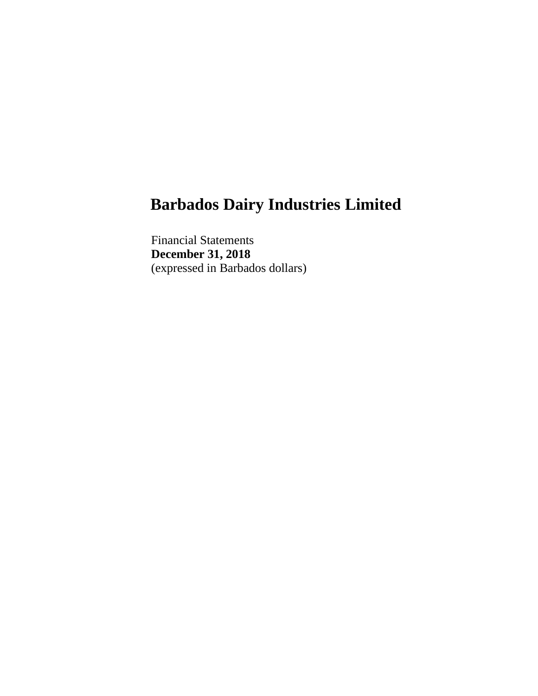Financial Statements **December 31, 2018** (expressed in Barbados dollars)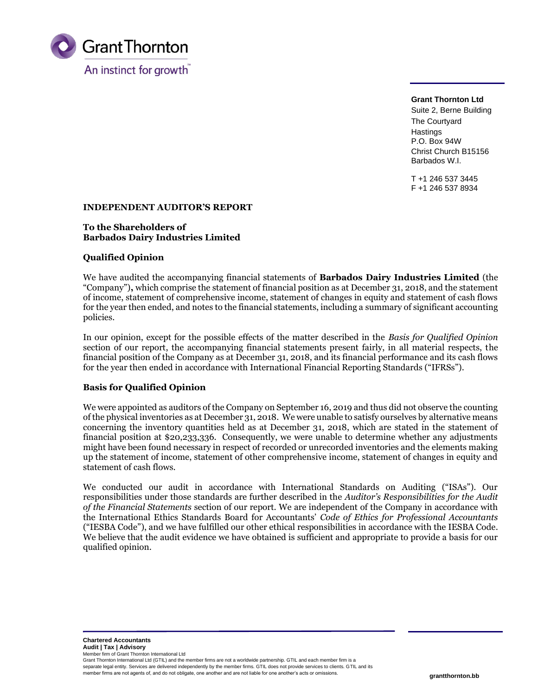

**Grant Thornton Ltd** Suite 2, Berne Building The Courtyard **Hastings** P.O. Box 94W Christ Church B15156 Barbados W.I.

T +1 246 537 3445 F +1 246 537 8934

### **INDEPENDENT AUDITOR'S REPORT**

#### **To the Shareholders of Barbados Dairy Industries Limited**

## **Qualified Opinion**

We have audited the accompanying financial statements of **Barbados Dairy Industries Limited** (the "Company")**,** which comprise the statement of financial position as at December 31, 2018, and the statement of income, statement of comprehensive income, statement of changes in equity and statement of cash flows for the year then ended, and notes to the financial statements, including a summary of significant accounting policies.

In our opinion, except for the possible effects of the matter described in the *Basis for Qualified Opinion*  section of our report, the accompanying financial statements present fairly, in all material respects, the financial position of the Company as at December 31, 2018, and its financial performance and its cash flows for the year then ended in accordance with International Financial Reporting Standards ("IFRSs").

### **Basis for Qualified Opinion**

We were appointed as auditors of the Company on September 16, 2019 and thus did not observe the counting of the physical inventories as at December 31, 2018. We were unable to satisfy ourselves by alternative means concerning the inventory quantities held as at December 31, 2018, which are stated in the statement of financial position at \$20,233,336. Consequently, we were unable to determine whether any adjustments might have been found necessary in respect of recorded or unrecorded inventories and the elements making up the statement of income, statement of other comprehensive income, statement of changes in equity and statement of cash flows.

We conducted our audit in accordance with International Standards on Auditing ("ISAs"). Our responsibilities under those standards are further described in the *Auditor's Responsibilities for the Audit of the Financial Statements* section of our report. We are independent of the Company in accordance with the International Ethics Standards Board for Accountants' *Code of Ethics for Professional Accountants*  ("IESBA Code"), and we have fulfilled our other ethical responsibilities in accordance with the IESBA Code. We believe that the audit evidence we have obtained is sufficient and appropriate to provide a basis for our qualified opinion.

**Chartered Accountants Audit | Tax | Advisory** Member firm of Grant Thornton International Ltd Grant Thornton International Ltd (GTIL) and the member firms are not a worldwide partnership. GTIL and each member firm is a separate legal entity. Services are delivered independently by the member firms. GTIL does not provide services to clients. GTIL and its

member firms are not agents of, and do not obligate, one another and are not liable for one another's acts or omissions.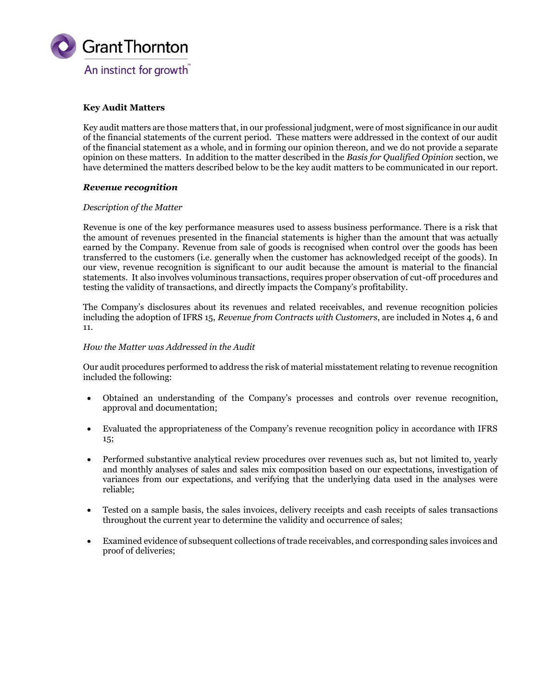

## **Key Audit Matters**

Key audit matters are those matters that, in our professional judgment, were of most significance in our audit of the financial statements of the current period. These matters were addressed in the context of our audit of the financial statement as a whole, and in forming our opinion thereon, and we do not provide a separate opinion on these matters. In addition to the matter described in the *Basis for Qualified Opinion* section, we have determined the matters described below to be the key audit matters to be communicated in our report.

### *Revenue recognition*

## *Description of the Matter*

Revenue is one of the key performance measures used to assess business performance. There is a risk that the amount of revenues presented in the financial statements is higher than the amount that was actually earned by the Company. Revenue from sale of goods is recognised when control over the goods has been transferred to the customers (i.e. generally when the customer has acknowledged receipt of the goods). In our view, revenue recognition is significant to our audit because the amount is material to the financial statements. It also involves voluminous transactions, requires proper observation of cut-off procedures and testing the validity of transactions, and directly impacts the Company's profitability.

The Company's disclosures about its revenues and related receivables, and revenue recognition policies including the adoption of IFRS 15, *Revenue from Contracts with Customers*, are included in Notes 4, 6 and 11.

### *How the Matter was Addressed in the Audit*

Our audit procedures performed to address the risk of material misstatement relating to revenue recognition included the following:

- Obtained an understanding of the Company's processes and controls over revenue recognition, approval and documentation;
- Evaluated the appropriateness of the Company's revenue recognition policy in accordance with IFRS 15;
- Performed substantive analytical review procedures over revenues such as, but not limited to, yearly and monthly analyses of sales and sales mix composition based on our expectations, investigation of variances from our expectations, and verifying that the underlying data used in the analyses were reliable;
- Tested on a sample basis, the sales invoices, delivery receipts and cash receipts of sales transactions throughout the current year to determine the validity and occurrence of sales;
- Examined evidence of subsequent collections of trade receivables, and corresponding sales invoices and proof of deliveries;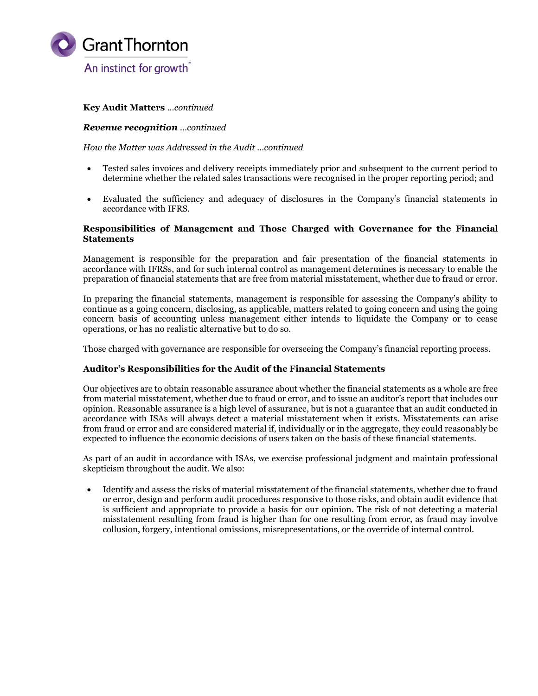

## **Key Audit Matters** *…continued*

#### *Revenue recognition …continued*

*How the Matter was Addressed in the Audit …continued*

- Tested sales invoices and delivery receipts immediately prior and subsequent to the current period to determine whether the related sales transactions were recognised in the proper reporting period; and
- Evaluated the sufficiency and adequacy of disclosures in the Company's financial statements in accordance with IFRS.

### **Responsibilities of Management and Those Charged with Governance for the Financial Statements**

Management is responsible for the preparation and fair presentation of the financial statements in accordance with IFRSs, and for such internal control as management determines is necessary to enable the preparation of financial statements that are free from material misstatement, whether due to fraud or error.

In preparing the financial statements, management is responsible for assessing the Company's ability to continue as a going concern, disclosing, as applicable, matters related to going concern and using the going concern basis of accounting unless management either intends to liquidate the Company or to cease operations, or has no realistic alternative but to do so.

Those charged with governance are responsible for overseeing the Company's financial reporting process.

### **Auditor's Responsibilities for the Audit of the Financial Statements**

Our objectives are to obtain reasonable assurance about whether the financial statements as a whole are free from material misstatement, whether due to fraud or error, and to issue an auditor's report that includes our opinion. Reasonable assurance is a high level of assurance, but is not a guarantee that an audit conducted in accordance with ISAs will always detect a material misstatement when it exists. Misstatements can arise from fraud or error and are considered material if, individually or in the aggregate, they could reasonably be expected to influence the economic decisions of users taken on the basis of these financial statements.

As part of an audit in accordance with ISAs, we exercise professional judgment and maintain professional skepticism throughout the audit. We also:

• Identify and assess the risks of material misstatement of the financial statements, whether due to fraud or error, design and perform audit procedures responsive to those risks, and obtain audit evidence that is sufficient and appropriate to provide a basis for our opinion. The risk of not detecting a material misstatement resulting from fraud is higher than for one resulting from error, as fraud may involve collusion, forgery, intentional omissions, misrepresentations, or the override of internal control.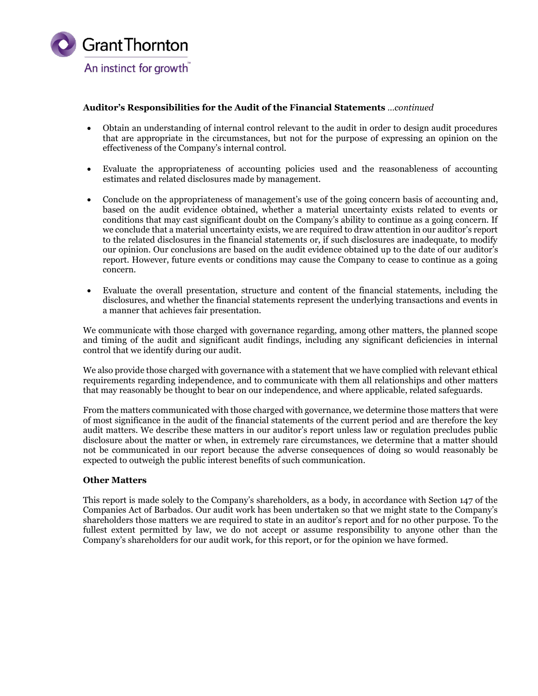

## **Auditor's Responsibilities for the Audit of the Financial Statements** *…continued*

- Obtain an understanding of internal control relevant to the audit in order to design audit procedures that are appropriate in the circumstances, but not for the purpose of expressing an opinion on the effectiveness of the Company's internal control.
- Evaluate the appropriateness of accounting policies used and the reasonableness of accounting estimates and related disclosures made by management.
- Conclude on the appropriateness of management's use of the going concern basis of accounting and, based on the audit evidence obtained, whether a material uncertainty exists related to events or conditions that may cast significant doubt on the Company's ability to continue as a going concern. If we conclude that a material uncertainty exists, we are required to draw attention in our auditor's report to the related disclosures in the financial statements or, if such disclosures are inadequate, to modify our opinion. Our conclusions are based on the audit evidence obtained up to the date of our auditor's report. However, future events or conditions may cause the Company to cease to continue as a going concern.
- Evaluate the overall presentation, structure and content of the financial statements, including the disclosures, and whether the financial statements represent the underlying transactions and events in a manner that achieves fair presentation.

We communicate with those charged with governance regarding, among other matters, the planned scope and timing of the audit and significant audit findings, including any significant deficiencies in internal control that we identify during our audit.

We also provide those charged with governance with a statement that we have complied with relevant ethical requirements regarding independence, and to communicate with them all relationships and other matters that may reasonably be thought to bear on our independence, and where applicable, related safeguards.

From the matters communicated with those charged with governance, we determine those matters that were of most significance in the audit of the financial statements of the current period and are therefore the key audit matters. We describe these matters in our auditor's report unless law or regulation precludes public disclosure about the matter or when, in extremely rare circumstances, we determine that a matter should not be communicated in our report because the adverse consequences of doing so would reasonably be expected to outweigh the public interest benefits of such communication.

### **Other Matters**

This report is made solely to the Company's shareholders, as a body, in accordance with Section 147 of the Companies Act of Barbados. Our audit work has been undertaken so that we might state to the Company's shareholders those matters we are required to state in an auditor's report and for no other purpose. To the fullest extent permitted by law, we do not accept or assume responsibility to anyone other than the Company's shareholders for our audit work, for this report, or for the opinion we have formed.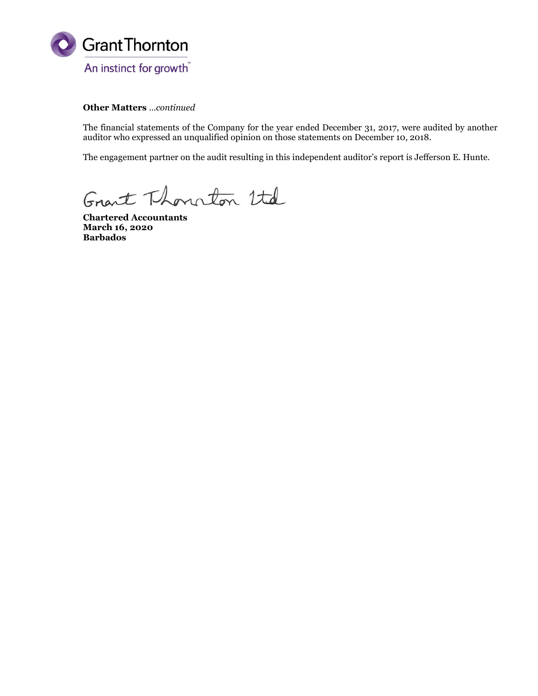

**Other Matters** *…continued*

The financial statements of the Company for the year ended December 31, 2017, were audited by another auditor who expressed an unqualified opinion on those statements on December 10, 2018.

The engagement partner on the audit resulting in this independent auditor's report is Jefferson E. Hunte.

Grant Thourton Utd

**Chartered Accountants March 16, 2020 Barbados**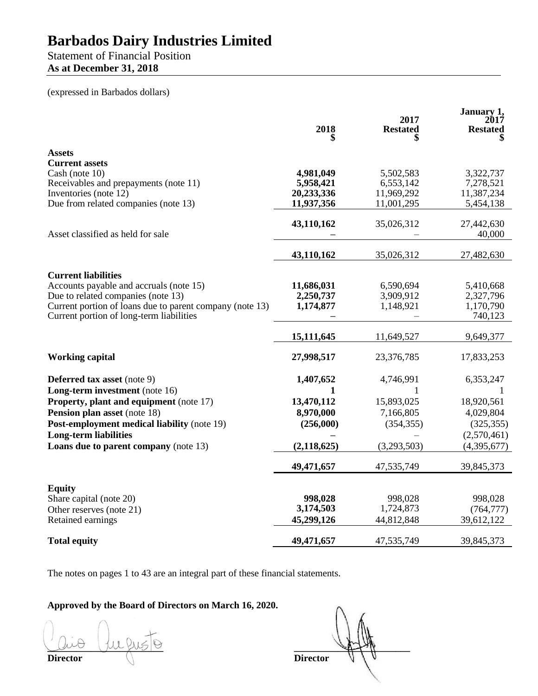# Statement of Financial Position **As at December 31, 2018**

(expressed in Barbados dollars)

|                                                               | 2018                     | 2017<br><b>Restated</b>  | January 1,<br>2017<br><b>Restated</b> |
|---------------------------------------------------------------|--------------------------|--------------------------|---------------------------------------|
| <b>Assets</b>                                                 |                          |                          |                                       |
| <b>Current assets</b>                                         |                          |                          |                                       |
| Cash (note 10)                                                | 4,981,049                | 5,502,583                | 3,322,737                             |
| Receivables and prepayments (note 11)                         | 5,958,421                | 6,553,142                | 7,278,521                             |
| Inventories (note 12)<br>Due from related companies (note 13) | 20,233,336<br>11,937,356 | 11,969,292<br>11,001,295 | 11,387,234<br>5,454,138               |
|                                                               |                          |                          |                                       |
|                                                               | 43,110,162               | 35,026,312               | 27,442,630                            |
| Asset classified as held for sale                             |                          |                          | 40,000                                |
|                                                               |                          |                          |                                       |
|                                                               | 43,110,162               | 35,026,312               | 27,482,630                            |
| <b>Current liabilities</b>                                    |                          |                          |                                       |
| Accounts payable and accruals (note 15)                       | 11,686,031               | 6,590,694                | 5,410,668                             |
| Due to related companies (note 13)                            | 2,250,737                | 3,909,912                | 2,327,796                             |
| Current portion of loans due to parent company (note 13)      | 1,174,877                | 1,148,921                | 1,170,790                             |
| Current portion of long-term liabilities                      |                          |                          | 740,123                               |
|                                                               | 15, 111, 645             | 11,649,527               | 9,649,377                             |
| <b>Working capital</b>                                        | 27,998,517               | 23,376,785               | 17,833,253                            |
| <b>Deferred tax asset</b> (note 9)                            | 1,407,652                | 4,746,991                | 6,353,247                             |
| Long-term investment (note 16)                                | 1                        | 1                        | 1                                     |
| <b>Property, plant and equipment</b> (note 17)                | 13,470,112               | 15,893,025               | 18,920,561                            |
| <b>Pension plan asset</b> (note 18)                           | 8,970,000                | 7,166,805                | 4,029,804                             |
| Post-employment medical liability (note 19)                   | (256,000)                | (354, 355)               | (325, 355)                            |
| <b>Long-term liabilities</b>                                  |                          |                          | (2,570,461)                           |
| Loans due to parent company (note 13)                         | (2, 118, 625)            | (3,293,503)              | (4,395,677)                           |
|                                                               | 49,471,657               | 47,535,749               | 39,845,373                            |
|                                                               |                          |                          |                                       |
| <b>Equity</b>                                                 | 998,028                  | 998,028                  | 998,028                               |
| Share capital (note 20)<br>Other reserves (note 21)           | 3,174,503                | 1,724,873                | (764, 777)                            |
| Retained earnings                                             | 45,299,126               | 44,812,848               | 39,612,122                            |
|                                                               |                          |                          |                                       |
| <b>Total equity</b>                                           | 49,471,657               | 47,535,749               | 39,845,373                            |

The notes on pages 1 to 43 are an integral part of these financial statements.

**Approved by the Board of Directors on March 16, 2020.**

**Director Director** 

assigned the property of the property of the same of the same of the same of the same of the same of the same of the same of the same of the same of the same of the same of the same of the same of the same of the same of t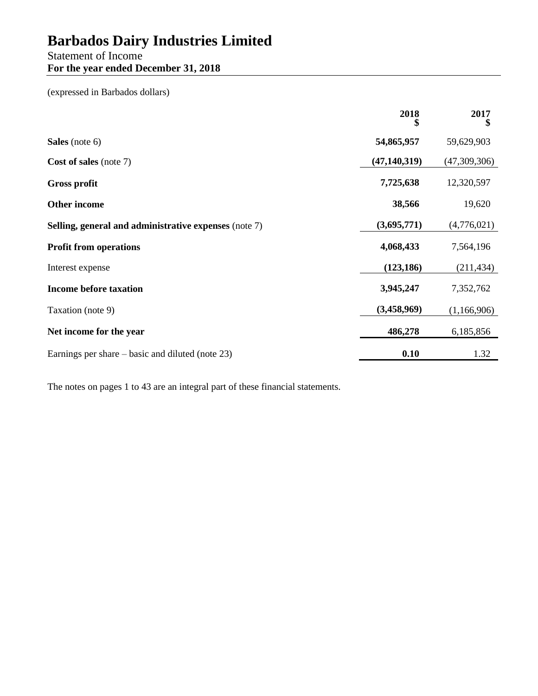# Statement of Income **For the year ended December 31, 2018**

(expressed in Barbados dollars)

|                                                       | 2018<br>\$     | 2017<br>\$   |
|-------------------------------------------------------|----------------|--------------|
| Sales (note 6)                                        | 54,865,957     | 59,629,903   |
| Cost of sales (note 7)                                | (47, 140, 319) | (47,309,306) |
| <b>Gross profit</b>                                   | 7,725,638      | 12,320,597   |
| <b>Other income</b>                                   | 38,566         | 19,620       |
| Selling, general and administrative expenses (note 7) | (3,695,771)    | (4,776,021)  |
| <b>Profit from operations</b>                         | 4,068,433      | 7,564,196    |
| Interest expense                                      | (123, 186)     | (211, 434)   |
| <b>Income before taxation</b>                         | 3,945,247      | 7,352,762    |
| Taxation (note 9)                                     | (3,458,969)    | (1,166,906)  |
| Net income for the year                               | 486,278        | 6,185,856    |
| Earnings per share $-$ basic and diluted (note 23)    | 0.10           | 1.32         |

The notes on pages 1 to 43 are an integral part of these financial statements.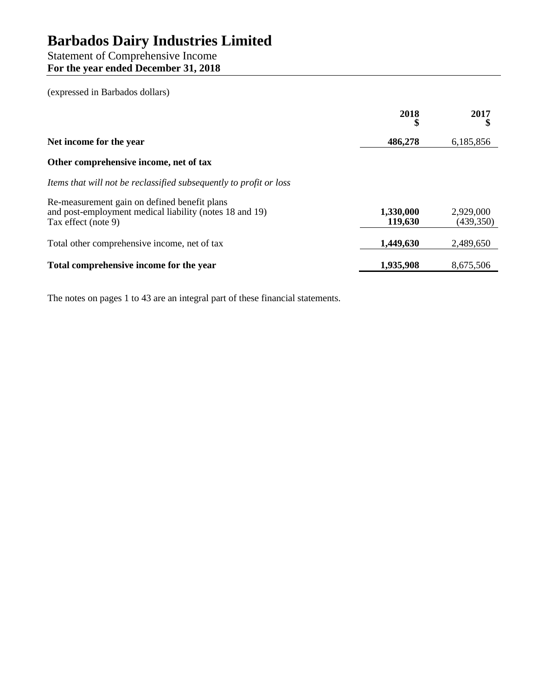# Statement of Comprehensive Income **For the year ended December 31, 2018**

(expressed in Barbados dollars)

|                                                                                                                                | 2018                 | 2017                    |
|--------------------------------------------------------------------------------------------------------------------------------|----------------------|-------------------------|
| Net income for the year                                                                                                        | 486,278              | 6,185,856               |
| Other comprehensive income, net of tax                                                                                         |                      |                         |
| Items that will not be reclassified subsequently to profit or loss                                                             |                      |                         |
| Re-measurement gain on defined benefit plans<br>and post-employment medical liability (notes 18 and 19)<br>Tax effect (note 9) | 1,330,000<br>119,630 | 2,929,000<br>(439, 350) |
| Total other comprehensive income, net of tax                                                                                   | 1,449,630            | 2,489,650               |
| Total comprehensive income for the year                                                                                        | 1,935,908            | 8,675,506               |
|                                                                                                                                |                      |                         |

The notes on pages 1 to 43 are an integral part of these financial statements.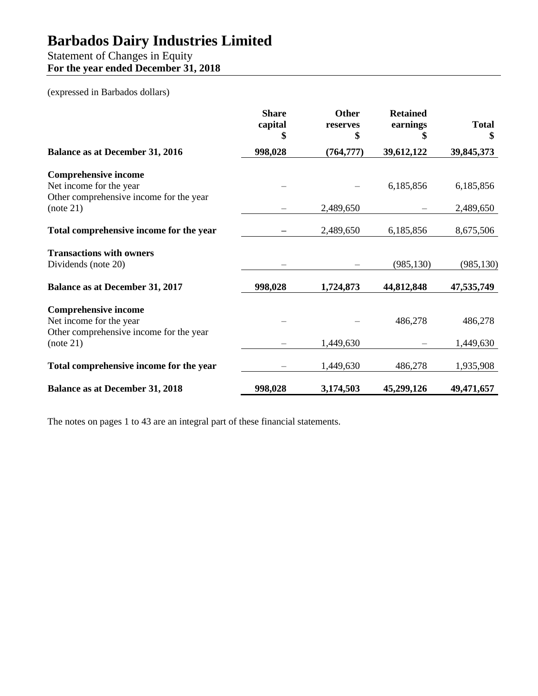# Statement of Changes in Equity **For the year ended December 31, 2018**

## (expressed in Barbados dollars)

|                                                        | <b>Share</b><br>capital<br>\$ | <b>Other</b><br>reserves<br>\$ | <b>Retained</b><br>earnings<br>\$ | <b>Total</b><br>S |
|--------------------------------------------------------|-------------------------------|--------------------------------|-----------------------------------|-------------------|
| <b>Balance as at December 31, 2016</b>                 | 998,028                       | (764, 777)                     | 39,612,122                        | 39,845,373        |
| <b>Comprehensive income</b>                            |                               |                                |                                   |                   |
| Net income for the year                                |                               |                                | 6,185,856                         | 6,185,856         |
| Other comprehensive income for the year<br>(note 21)   |                               | 2,489,650                      |                                   | 2,489,650         |
| Total comprehensive income for the year                |                               | 2,489,650                      | 6,185,856                         | 8,675,506         |
| <b>Transactions with owners</b><br>Dividends (note 20) |                               |                                | (985, 130)                        | (985, 130)        |
| <b>Balance as at December 31, 2017</b>                 | 998,028                       | 1,724,873                      | 44,812,848                        | 47,535,749        |
| <b>Comprehensive income</b><br>Net income for the year |                               |                                | 486,278                           | 486,278           |
| Other comprehensive income for the year<br>(note 21)   |                               | 1,449,630                      |                                   | 1,449,630         |
| Total comprehensive income for the year                |                               | 1,449,630                      | 486,278                           | 1,935,908         |
| <b>Balance as at December 31, 2018</b>                 | 998,028                       | 3,174,503                      | 45,299,126                        | 49,471,657        |

The notes on pages 1 to 43 are an integral part of these financial statements.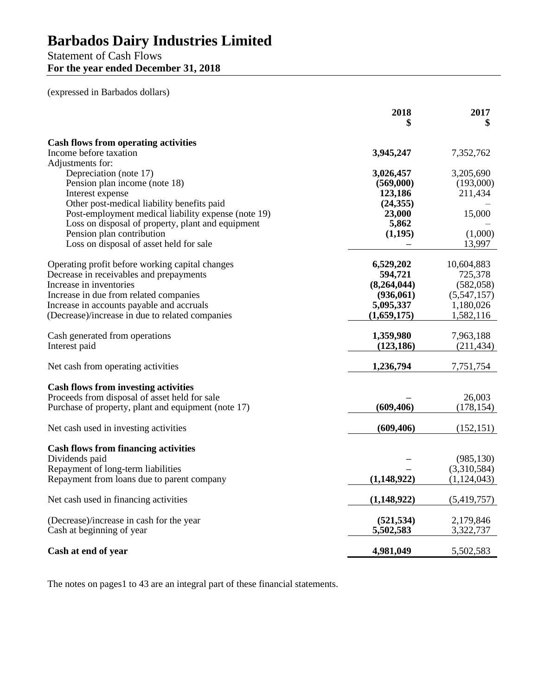# Statement of Cash Flows **For the year ended December 31, 2018**

(expressed in Barbados dollars)

|                                                                                | 2018            | 2017        |
|--------------------------------------------------------------------------------|-----------------|-------------|
| <b>Cash flows from operating activities</b>                                    |                 |             |
| Income before taxation                                                         | 3,945,247       | 7,352,762   |
| Adjustments for:                                                               |                 |             |
| Depreciation (note 17)                                                         | 3,026,457       | 3,205,690   |
| Pension plan income (note 18)                                                  | (569,000)       | (193,000)   |
| Interest expense                                                               | 123,186         | 211,434     |
| Other post-medical liability benefits paid                                     | (24, 355)       |             |
| Post-employment medical liability expense (note 19)                            | 23,000<br>5,862 | 15,000      |
| Loss on disposal of property, plant and equipment<br>Pension plan contribution | (1,195)         | (1,000)     |
| Loss on disposal of asset held for sale                                        |                 | 13,997      |
|                                                                                |                 |             |
| Operating profit before working capital changes                                | 6,529,202       | 10,604,883  |
| Decrease in receivables and prepayments                                        | 594,721         | 725,378     |
| Increase in inventories                                                        | (8,264,044)     | (582, 058)  |
| Increase in due from related companies                                         | (936,061)       | (5,547,157) |
| Increase in accounts payable and accruals                                      | 5,095,337       | 1,180,026   |
| (Decrease)/increase in due to related companies                                | (1,659,175)     | 1,582,116   |
| Cash generated from operations                                                 | 1,359,980       | 7,963,188   |
| Interest paid                                                                  | (123, 186)      | (211, 434)  |
|                                                                                |                 |             |
| Net cash from operating activities                                             | 1,236,794       | 7,751,754   |
| <b>Cash flows from investing activities</b>                                    |                 |             |
| Proceeds from disposal of asset held for sale                                  |                 | 26,003      |
| Purchase of property, plant and equipment (note 17)                            | (609, 406)      | (178, 154)  |
|                                                                                |                 |             |
| Net cash used in investing activities                                          | (609, 406)      | (152, 151)  |
| <b>Cash flows from financing activities</b>                                    |                 |             |
| Dividends paid                                                                 |                 | (985, 130)  |
| Repayment of long-term liabilities                                             |                 | (3,310,584) |
| Repayment from loans due to parent company                                     | (1, 148, 922)   | (1,124,043) |
| Net cash used in financing activities                                          | (1,148,922)     | (5,419,757) |
|                                                                                |                 |             |
| (Decrease)/increase in cash for the year                                       | (521, 534)      | 2,179,846   |
| Cash at beginning of year                                                      | 5,502,583       | 3,322,737   |
| Cash at end of year                                                            | 4,981,049       | 5,502,583   |

The notes on pages1 to 43 are an integral part of these financial statements.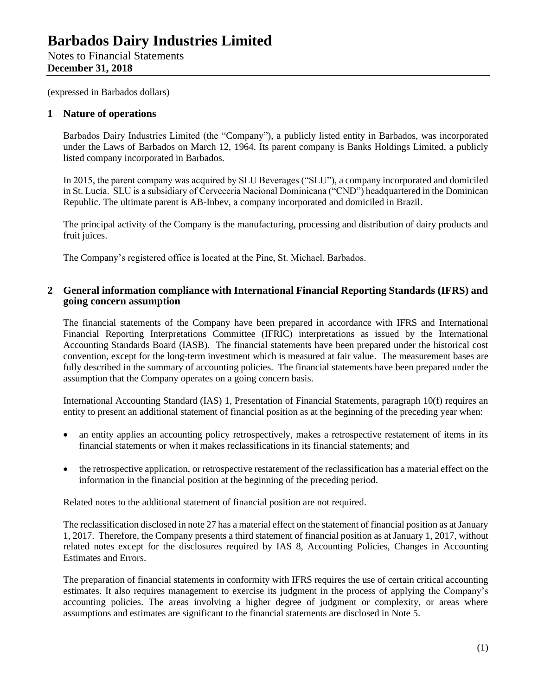(expressed in Barbados dollars)

## **1 Nature of operations**

Barbados Dairy Industries Limited (the "Company"), a publicly listed entity in Barbados, was incorporated under the Laws of Barbados on March 12, 1964. Its parent company is Banks Holdings Limited, a publicly listed company incorporated in Barbados.

In 2015, the parent company was acquired by SLU Beverages ("SLU"), a company incorporated and domiciled in St. Lucia. SLU is a subsidiary of Cerveceria Nacional Dominicana ("CND") headquartered in the Dominican Republic. The ultimate parent is AB-Inbev, a company incorporated and domiciled in Brazil.

The principal activity of the Company is the manufacturing, processing and distribution of dairy products and fruit juices.

The Company's registered office is located at the Pine, St. Michael, Barbados.

## **2 General information compliance with International Financial Reporting Standards (IFRS) and going concern assumption**

The financial statements of the Company have been prepared in accordance with IFRS and International Financial Reporting Interpretations Committee (IFRIC) interpretations as issued by the International Accounting Standards Board (IASB). The financial statements have been prepared under the historical cost convention, except for the long-term investment which is measured at fair value. The measurement bases are fully described in the summary of accounting policies. The financial statements have been prepared under the assumption that the Company operates on a going concern basis.

International Accounting Standard (IAS) 1, Presentation of Financial Statements, paragraph 10(f) requires an entity to present an additional statement of financial position as at the beginning of the preceding year when:

- an entity applies an accounting policy retrospectively, makes a retrospective restatement of items in its financial statements or when it makes reclassifications in its financial statements; and
- the retrospective application, or retrospective restatement of the reclassification has a material effect on the information in the financial position at the beginning of the preceding period.

Related notes to the additional statement of financial position are not required.

The reclassification disclosed in note 27 has a material effect on the statement of financial position as at January 1, 2017. Therefore, the Company presents a third statement of financial position as at January 1, 2017, without related notes except for the disclosures required by IAS 8, Accounting Policies, Changes in Accounting Estimates and Errors.

The preparation of financial statements in conformity with IFRS requires the use of certain critical accounting estimates. It also requires management to exercise its judgment in the process of applying the Company's accounting policies. The areas involving a higher degree of judgment or complexity, or areas where assumptions and estimates are significant to the financial statements are disclosed in Note 5.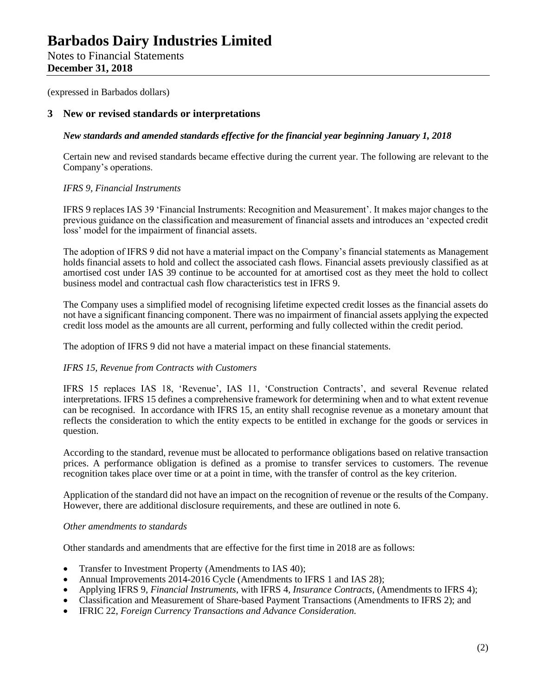Notes to Financial Statements **December 31, 2018**

(expressed in Barbados dollars)

## **3 New or revised standards or interpretations**

## *New standards and amended standards effective for the financial year beginning January 1, 2018*

Certain new and revised standards became effective during the current year. The following are relevant to the Company's operations.

## *IFRS 9, Financial Instruments*

IFRS 9 replaces IAS 39 'Financial Instruments: Recognition and Measurement'. It makes major changes to the previous guidance on the classification and measurement of financial assets and introduces an 'expected credit loss' model for the impairment of financial assets.

The adoption of IFRS 9 did not have a material impact on the Company's financial statements as Management holds financial assets to hold and collect the associated cash flows. Financial assets previously classified as at amortised cost under IAS 39 continue to be accounted for at amortised cost as they meet the hold to collect business model and contractual cash flow characteristics test in IFRS 9.

The Company uses a simplified model of recognising lifetime expected credit losses as the financial assets do not have a significant financing component. There was no impairment of financial assets applying the expected credit loss model as the amounts are all current, performing and fully collected within the credit period.

The adoption of IFRS 9 did not have a material impact on these financial statements.

### *IFRS 15, Revenue from Contracts with Customers*

IFRS 15 replaces IAS 18, 'Revenue', IAS 11, 'Construction Contracts', and several Revenue related interpretations. IFRS 15 defines a comprehensive framework for determining when and to what extent revenue can be recognised. In accordance with IFRS 15, an entity shall recognise revenue as a monetary amount that reflects the consideration to which the entity expects to be entitled in exchange for the goods or services in question.

According to the standard, revenue must be allocated to performance obligations based on relative transaction prices. A performance obligation is defined as a promise to transfer services to customers. The revenue recognition takes place over time or at a point in time, with the transfer of control as the key criterion.

Application of the standard did not have an impact on the recognition of revenue or the results of the Company. However, there are additional disclosure requirements, and these are outlined in note 6.

### *Other amendments to standards*

Other standards and amendments that are effective for the first time in 2018 are as follows:

- Transfer to Investment Property (Amendments to IAS 40);
- Annual Improvements 2014-2016 Cycle (Amendments to IFRS 1 and IAS 28);
- Applying IFRS 9, *Financial Instruments*, with IFRS 4, *Insurance Contracts*, (Amendments to IFRS 4);
- Classification and Measurement of Share-based Payment Transactions (Amendments to IFRS 2); and
- IFRIC 22, *Foreign Currency Transactions and Advance Consideration.*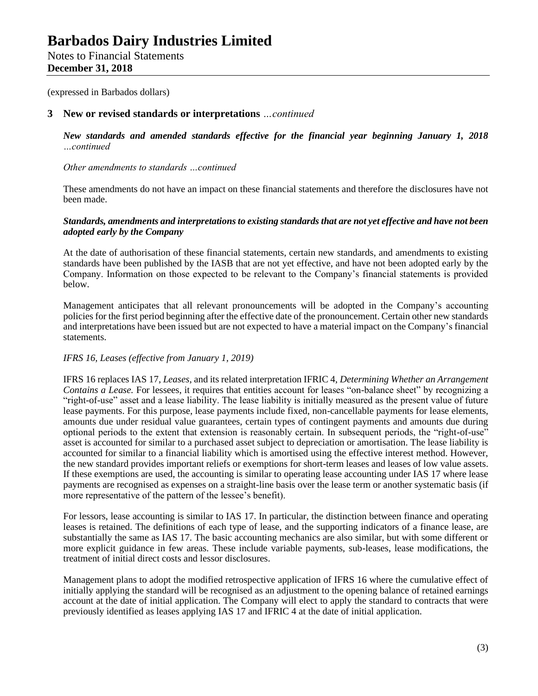(expressed in Barbados dollars)

## **3 New or revised standards or interpretations** *…continued*

*New standards and amended standards effective for the financial year beginning January 1, 2018 …continued*

*Other amendments to standards …continued*

These amendments do not have an impact on these financial statements and therefore the disclosures have not been made.

## *Standards, amendments and interpretations to existing standards that are not yet effective and have not been adopted early by the Company*

At the date of authorisation of these financial statements, certain new standards, and amendments to existing standards have been published by the IASB that are not yet effective, and have not been adopted early by the Company. Information on those expected to be relevant to the Company's financial statements is provided below.

Management anticipates that all relevant pronouncements will be adopted in the Company's accounting policies for the first period beginning after the effective date of the pronouncement. Certain other new standards and interpretations have been issued but are not expected to have a material impact on the Company's financial statements.

## *IFRS 16, Leases (effective from January 1, 2019)*

IFRS 16 replaces IAS 17, *Leases*, and its related interpretation IFRIC 4, *Determining Whether an Arrangement Contains a Lease.* For lessees, it requires that entities account for leases "on-balance sheet" by recognizing a "right-of-use" asset and a lease liability. The lease liability is initially measured as the present value of future lease payments. For this purpose, lease payments include fixed, non-cancellable payments for lease elements, amounts due under residual value guarantees, certain types of contingent payments and amounts due during optional periods to the extent that extension is reasonably certain. In subsequent periods, the "right-of-use" asset is accounted for similar to a purchased asset subject to depreciation or amortisation. The lease liability is accounted for similar to a financial liability which is amortised using the effective interest method. However, the new standard provides important reliefs or exemptions for short-term leases and leases of low value assets. If these exemptions are used, the accounting is similar to operating lease accounting under IAS 17 where lease payments are recognised as expenses on a straight-line basis over the lease term or another systematic basis (if more representative of the pattern of the lessee's benefit).

For lessors, lease accounting is similar to IAS 17. In particular, the distinction between finance and operating leases is retained. The definitions of each type of lease, and the supporting indicators of a finance lease, are substantially the same as IAS 17. The basic accounting mechanics are also similar, but with some different or more explicit guidance in few areas. These include variable payments, sub-leases, lease modifications, the treatment of initial direct costs and lessor disclosures.

Management plans to adopt the modified retrospective application of IFRS 16 where the cumulative effect of initially applying the standard will be recognised as an adjustment to the opening balance of retained earnings account at the date of initial application. The Company will elect to apply the standard to contracts that were previously identified as leases applying IAS 17 and IFRIC 4 at the date of initial application.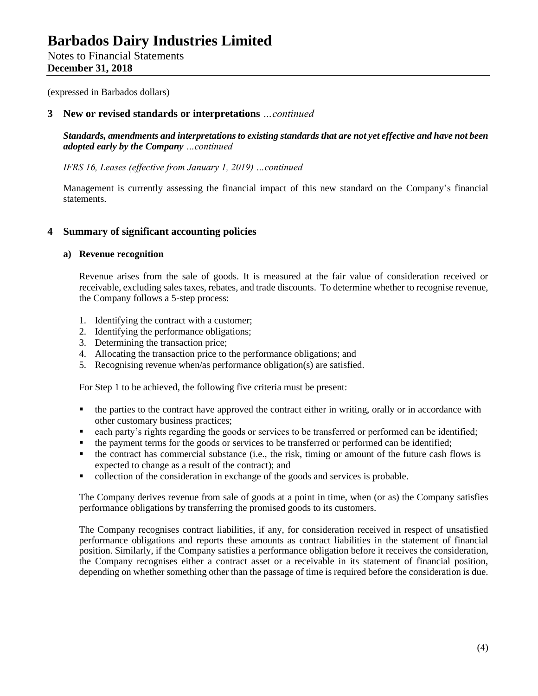Notes to Financial Statements **December 31, 2018**

(expressed in Barbados dollars)

## **3 New or revised standards or interpretations** *…continued*

*Standards, amendments and interpretations to existing standards that are not yet effective and have not been adopted early by the Company …continued*

*IFRS 16, Leases (effective from January 1, 2019) …continued*

Management is currently assessing the financial impact of this new standard on the Company's financial statements.

## **4 Summary of significant accounting policies**

### **a) Revenue recognition**

Revenue arises from the sale of goods. It is measured at the fair value of consideration received or receivable, excluding sales taxes, rebates, and trade discounts. To determine whether to recognise revenue, the Company follows a 5-step process:

- 1. Identifying the contract with a customer;
- 2. Identifying the performance obligations;
- 3. Determining the transaction price;
- 4. Allocating the transaction price to the performance obligations; and
- 5. Recognising revenue when/as performance obligation(s) are satisfied.

For Step 1 to be achieved, the following five criteria must be present:

- the parties to the contract have approved the contract either in writing, orally or in accordance with other customary business practices;
- each party's rights regarding the goods or services to be transferred or performed can be identified;
- the payment terms for the goods or services to be transferred or performed can be identified;
- the contract has commercial substance (i.e., the risk, timing or amount of the future cash flows is expected to change as a result of the contract); and
- collection of the consideration in exchange of the goods and services is probable.

The Company derives revenue from sale of goods at a point in time, when (or as) the Company satisfies performance obligations by transferring the promised goods to its customers.

The Company recognises contract liabilities, if any, for consideration received in respect of unsatisfied performance obligations and reports these amounts as contract liabilities in the statement of financial position. Similarly, if the Company satisfies a performance obligation before it receives the consideration, the Company recognises either a contract asset or a receivable in its statement of financial position, depending on whether something other than the passage of time is required before the consideration is due.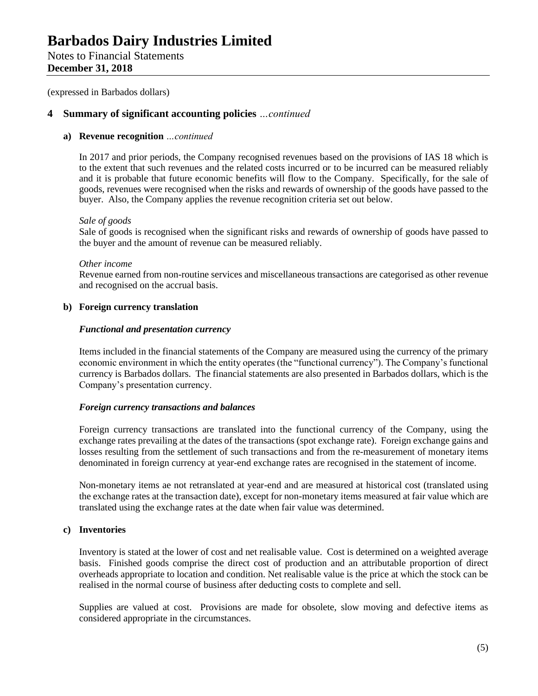## Notes to Financial Statements **December 31, 2018**

(expressed in Barbados dollars)

## **4 Summary of significant accounting policies** *…continued*

## **a) Revenue recognition** *…continued*

In 2017 and prior periods, the Company recognised revenues based on the provisions of IAS 18 which is to the extent that such revenues and the related costs incurred or to be incurred can be measured reliably and it is probable that future economic benefits will flow to the Company. Specifically, for the sale of goods, revenues were recognised when the risks and rewards of ownership of the goods have passed to the buyer. Also, the Company applies the revenue recognition criteria set out below.

### *Sale of goods*

Sale of goods is recognised when the significant risks and rewards of ownership of goods have passed to the buyer and the amount of revenue can be measured reliably.

### *Other income*

Revenue earned from non-routine services and miscellaneous transactions are categorised as other revenue and recognised on the accrual basis.

## **b) Foreign currency translation**

### *Functional and presentation currency*

Items included in the financial statements of the Company are measured using the currency of the primary economic environment in which the entity operates (the "functional currency"). The Company's functional currency is Barbados dollars. The financial statements are also presented in Barbados dollars, which is the Company's presentation currency.

## *Foreign currency transactions and balances*

Foreign currency transactions are translated into the functional currency of the Company, using the exchange rates prevailing at the dates of the transactions (spot exchange rate). Foreign exchange gains and losses resulting from the settlement of such transactions and from the re-measurement of monetary items denominated in foreign currency at year-end exchange rates are recognised in the statement of income.

Non-monetary items ae not retranslated at year-end and are measured at historical cost (translated using the exchange rates at the transaction date), except for non-monetary items measured at fair value which are translated using the exchange rates at the date when fair value was determined.

### **c) Inventories**

Inventory is stated at the lower of cost and net realisable value. Cost is determined on a weighted average basis. Finished goods comprise the direct cost of production and an attributable proportion of direct overheads appropriate to location and condition. Net realisable value is the price at which the stock can be realised in the normal course of business after deducting costs to complete and sell.

Supplies are valued at cost. Provisions are made for obsolete, slow moving and defective items as considered appropriate in the circumstances.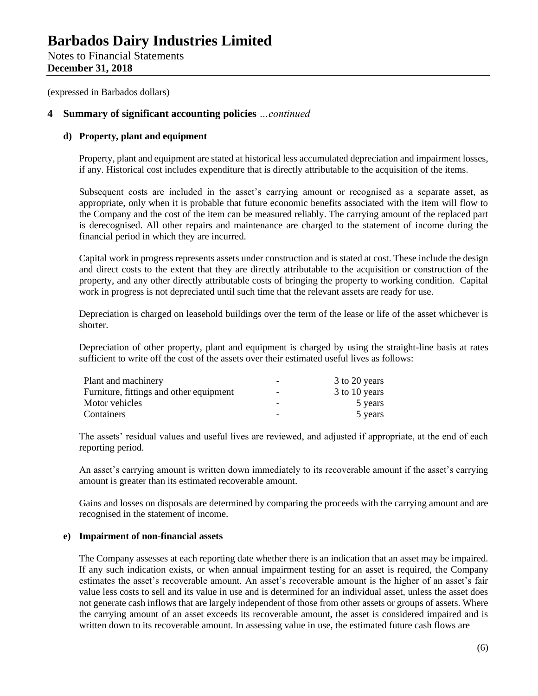Notes to Financial Statements **December 31, 2018**

(expressed in Barbados dollars)

## **4 Summary of significant accounting policies** *…continued*

## **d) Property, plant and equipment**

Property, plant and equipment are stated at historical less accumulated depreciation and impairment losses, if any. Historical cost includes expenditure that is directly attributable to the acquisition of the items.

Subsequent costs are included in the asset's carrying amount or recognised as a separate asset, as appropriate, only when it is probable that future economic benefits associated with the item will flow to the Company and the cost of the item can be measured reliably. The carrying amount of the replaced part is derecognised. All other repairs and maintenance are charged to the statement of income during the financial period in which they are incurred.

Capital work in progress represents assets under construction and is stated at cost. These include the design and direct costs to the extent that they are directly attributable to the acquisition or construction of the property, and any other directly attributable costs of bringing the property to working condition. Capital work in progress is not depreciated until such time that the relevant assets are ready for use.

Depreciation is charged on leasehold buildings over the term of the lease or life of the asset whichever is shorter.

Depreciation of other property, plant and equipment is charged by using the straight-line basis at rates sufficient to write off the cost of the assets over their estimated useful lives as follows:

| Plant and machinery                     |                          | 3 to 20 years |
|-----------------------------------------|--------------------------|---------------|
| Furniture, fittings and other equipment | $\overline{\phantom{0}}$ | 3 to 10 years |
| Motor vehicles                          | -                        | 5 years       |
| Containers                              |                          | 5 years       |

The assets' residual values and useful lives are reviewed, and adjusted if appropriate, at the end of each reporting period.

An asset's carrying amount is written down immediately to its recoverable amount if the asset's carrying amount is greater than its estimated recoverable amount.

Gains and losses on disposals are determined by comparing the proceeds with the carrying amount and are recognised in the statement of income.

## **e) Impairment of non-financial assets**

The Company assesses at each reporting date whether there is an indication that an asset may be impaired. If any such indication exists, or when annual impairment testing for an asset is required, the Company estimates the asset's recoverable amount. An asset's recoverable amount is the higher of an asset's fair value less costs to sell and its value in use and is determined for an individual asset, unless the asset does not generate cash inflows that are largely independent of those from other assets or groups of assets. Where the carrying amount of an asset exceeds its recoverable amount, the asset is considered impaired and is written down to its recoverable amount. In assessing value in use, the estimated future cash flows are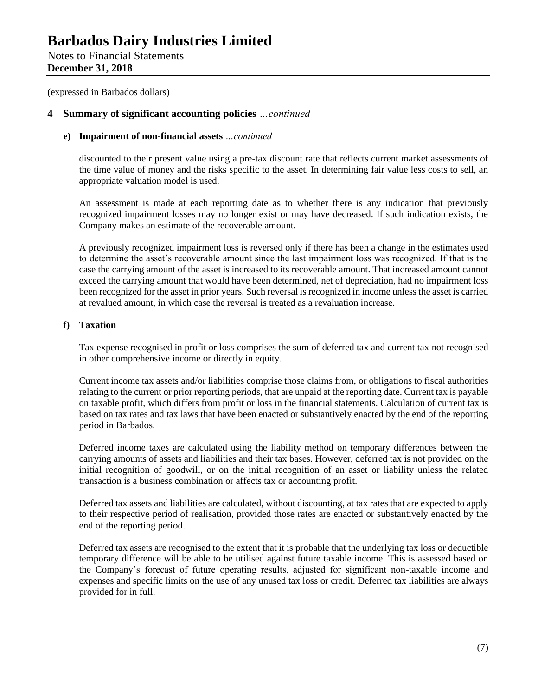Notes to Financial Statements **December 31, 2018**

(expressed in Barbados dollars)

## **4 Summary of significant accounting policies** *…continued*

## **e) Impairment of non-financial assets** *…continued*

discounted to their present value using a pre-tax discount rate that reflects current market assessments of the time value of money and the risks specific to the asset. In determining fair value less costs to sell, an appropriate valuation model is used.

An assessment is made at each reporting date as to whether there is any indication that previously recognized impairment losses may no longer exist or may have decreased. If such indication exists, the Company makes an estimate of the recoverable amount.

A previously recognized impairment loss is reversed only if there has been a change in the estimates used to determine the asset's recoverable amount since the last impairment loss was recognized. If that is the case the carrying amount of the asset is increased to its recoverable amount. That increased amount cannot exceed the carrying amount that would have been determined, net of depreciation, had no impairment loss been recognized for the asset in prior years. Such reversal is recognized in income unless the asset is carried at revalued amount, in which case the reversal is treated as a revaluation increase.

## **f) Taxation**

Tax expense recognised in profit or loss comprises the sum of deferred tax and current tax not recognised in other comprehensive income or directly in equity.

Current income tax assets and/or liabilities comprise those claims from, or obligations to fiscal authorities relating to the current or prior reporting periods, that are unpaid at the reporting date. Current tax is payable on taxable profit, which differs from profit or loss in the financial statements. Calculation of current tax is based on tax rates and tax laws that have been enacted or substantively enacted by the end of the reporting period in Barbados.

Deferred income taxes are calculated using the liability method on temporary differences between the carrying amounts of assets and liabilities and their tax bases. However, deferred tax is not provided on the initial recognition of goodwill, or on the initial recognition of an asset or liability unless the related transaction is a business combination or affects tax or accounting profit.

Deferred tax assets and liabilities are calculated, without discounting, at tax rates that are expected to apply to their respective period of realisation, provided those rates are enacted or substantively enacted by the end of the reporting period.

Deferred tax assets are recognised to the extent that it is probable that the underlying tax loss or deductible temporary difference will be able to be utilised against future taxable income. This is assessed based on the Company's forecast of future operating results, adjusted for significant non-taxable income and expenses and specific limits on the use of any unused tax loss or credit. Deferred tax liabilities are always provided for in full.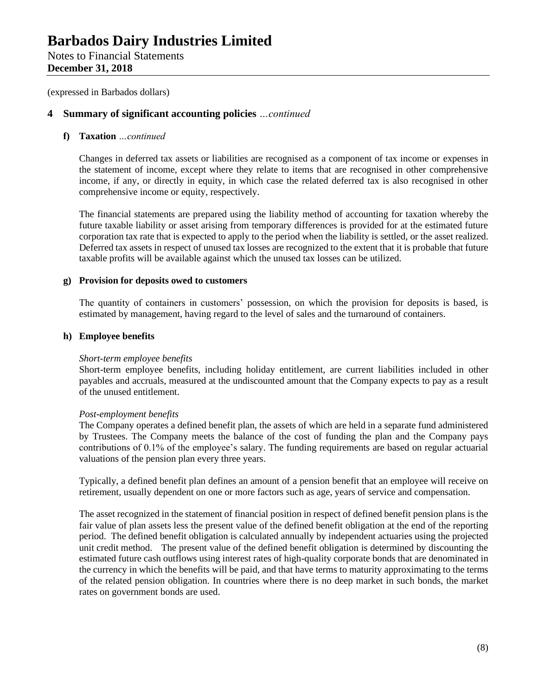## Notes to Financial Statements **December 31, 2018**

(expressed in Barbados dollars)

## **4 Summary of significant accounting policies** *…continued*

## **f) Taxation** *…continued*

Changes in deferred tax assets or liabilities are recognised as a component of tax income or expenses in the statement of income, except where they relate to items that are recognised in other comprehensive income, if any, or directly in equity, in which case the related deferred tax is also recognised in other comprehensive income or equity, respectively.

The financial statements are prepared using the liability method of accounting for taxation whereby the future taxable liability or asset arising from temporary differences is provided for at the estimated future corporation tax rate that is expected to apply to the period when the liability is settled, or the asset realized. Deferred tax assets in respect of unused tax losses are recognized to the extent that it is probable that future taxable profits will be available against which the unused tax losses can be utilized.

## **g) Provision for deposits owed to customers**

The quantity of containers in customers' possession, on which the provision for deposits is based, is estimated by management, having regard to the level of sales and the turnaround of containers.

## **h) Employee benefits**

### *Short-term employee benefits*

Short-term employee benefits, including holiday entitlement, are current liabilities included in other payables and accruals, measured at the undiscounted amount that the Company expects to pay as a result of the unused entitlement.

### *Post-employment benefits*

The Company operates a defined benefit plan, the assets of which are held in a separate fund administered by Trustees. The Company meets the balance of the cost of funding the plan and the Company pays contributions of 0.1% of the employee's salary. The funding requirements are based on regular actuarial valuations of the pension plan every three years.

Typically, a defined benefit plan defines an amount of a pension benefit that an employee will receive on retirement, usually dependent on one or more factors such as age, years of service and compensation.

The asset recognized in the statement of financial position in respect of defined benefit pension plans is the fair value of plan assets less the present value of the defined benefit obligation at the end of the reporting period. The defined benefit obligation is calculated annually by independent actuaries using the projected unit credit method. The present value of the defined benefit obligation is determined by discounting the estimated future cash outflows using interest rates of high-quality corporate bonds that are denominated in the currency in which the benefits will be paid, and that have terms to maturity approximating to the terms of the related pension obligation. In countries where there is no deep market in such bonds, the market rates on government bonds are used.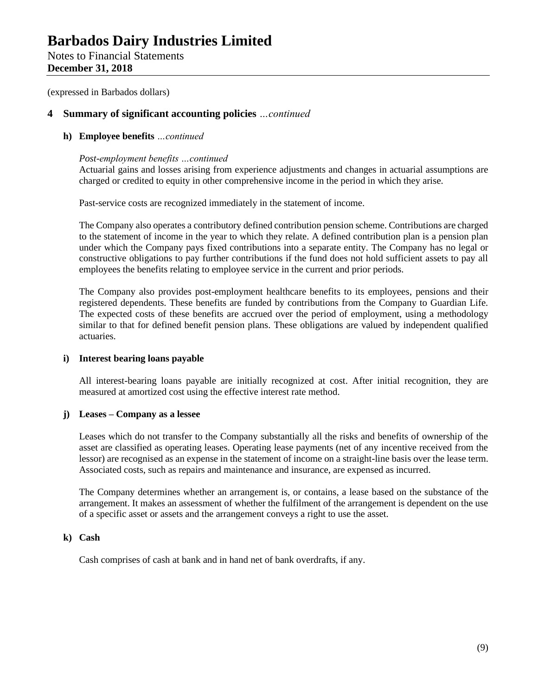Notes to Financial Statements **December 31, 2018**

(expressed in Barbados dollars)

## **4 Summary of significant accounting policies** *…continued*

## **h) Employee benefits** *…continued*

## *Post-employment benefits …continued*

Actuarial gains and losses arising from experience adjustments and changes in actuarial assumptions are charged or credited to equity in other comprehensive income in the period in which they arise.

Past-service costs are recognized immediately in the statement of income.

The Company also operates a contributory defined contribution pension scheme. Contributions are charged to the statement of income in the year to which they relate. A defined contribution plan is a pension plan under which the Company pays fixed contributions into a separate entity. The Company has no legal or constructive obligations to pay further contributions if the fund does not hold sufficient assets to pay all employees the benefits relating to employee service in the current and prior periods.

The Company also provides post-employment healthcare benefits to its employees, pensions and their registered dependents. These benefits are funded by contributions from the Company to Guardian Life. The expected costs of these benefits are accrued over the period of employment, using a methodology similar to that for defined benefit pension plans. These obligations are valued by independent qualified actuaries.

### **i) Interest bearing loans payable**

All interest-bearing loans payable are initially recognized at cost. After initial recognition, they are measured at amortized cost using the effective interest rate method.

## **j) Leases – Company as a lessee**

Leases which do not transfer to the Company substantially all the risks and benefits of ownership of the asset are classified as operating leases. Operating lease payments (net of any incentive received from the lessor) are recognised as an expense in the statement of income on a straight-line basis over the lease term. Associated costs, such as repairs and maintenance and insurance, are expensed as incurred.

The Company determines whether an arrangement is, or contains, a lease based on the substance of the arrangement. It makes an assessment of whether the fulfilment of the arrangement is dependent on the use of a specific asset or assets and the arrangement conveys a right to use the asset.

## **k) Cash**

Cash comprises of cash at bank and in hand net of bank overdrafts, if any.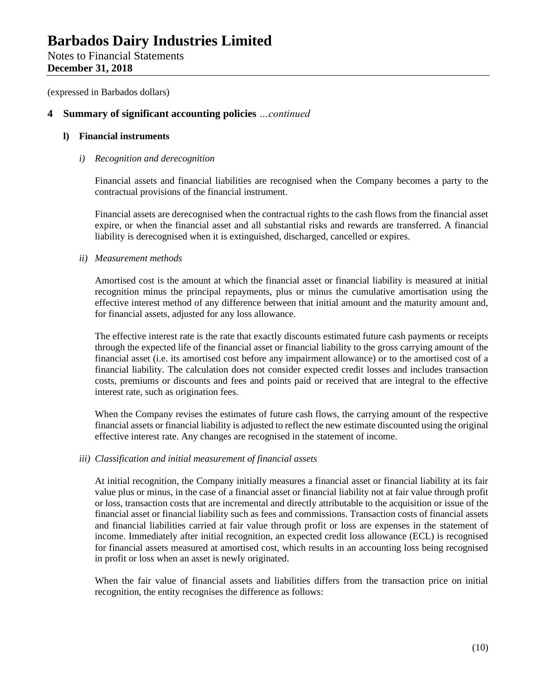Notes to Financial Statements **December 31, 2018**

(expressed in Barbados dollars)

## **4 Summary of significant accounting policies** *…continued*

## **l) Financial instruments**

### *i) Recognition and derecognition*

Financial assets and financial liabilities are recognised when the Company becomes a party to the contractual provisions of the financial instrument.

Financial assets are derecognised when the contractual rights to the cash flows from the financial asset expire, or when the financial asset and all substantial risks and rewards are transferred. A financial liability is derecognised when it is extinguished, discharged, cancelled or expires.

## *ii) Measurement methods*

Amortised cost is the amount at which the financial asset or financial liability is measured at initial recognition minus the principal repayments, plus or minus the cumulative amortisation using the effective interest method of any difference between that initial amount and the maturity amount and, for financial assets, adjusted for any loss allowance.

The effective interest rate is the rate that exactly discounts estimated future cash payments or receipts through the expected life of the financial asset or financial liability to the gross carrying amount of the financial asset (i.e. its amortised cost before any impairment allowance) or to the amortised cost of a financial liability. The calculation does not consider expected credit losses and includes transaction costs, premiums or discounts and fees and points paid or received that are integral to the effective interest rate, such as origination fees.

When the Company revises the estimates of future cash flows, the carrying amount of the respective financial assets or financial liability is adjusted to reflect the new estimate discounted using the original effective interest rate. Any changes are recognised in the statement of income.

### *iii) Classification and initial measurement of financial assets*

At initial recognition, the Company initially measures a financial asset or financial liability at its fair value plus or minus, in the case of a financial asset or financial liability not at fair value through profit or loss, transaction costs that are incremental and directly attributable to the acquisition or issue of the financial asset or financial liability such as fees and commissions. Transaction costs of financial assets and financial liabilities carried at fair value through profit or loss are expenses in the statement of income. Immediately after initial recognition, an expected credit loss allowance (ECL) is recognised for financial assets measured at amortised cost, which results in an accounting loss being recognised in profit or loss when an asset is newly originated.

When the fair value of financial assets and liabilities differs from the transaction price on initial recognition, the entity recognises the difference as follows: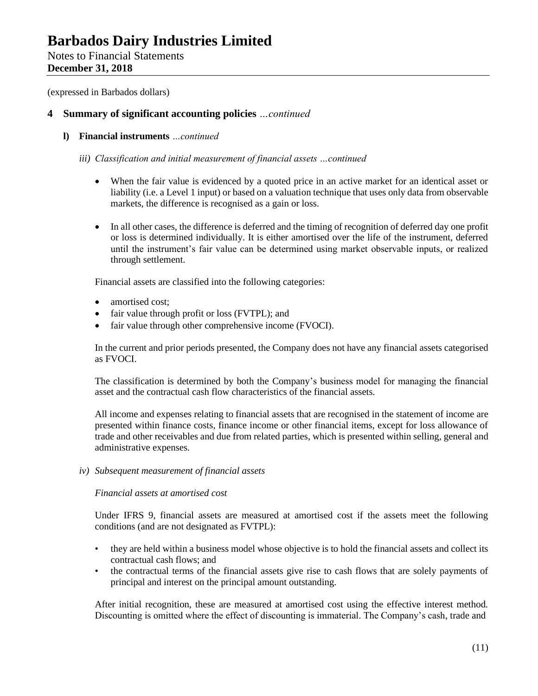Notes to Financial Statements **December 31, 2018**

(expressed in Barbados dollars)

## **4 Summary of significant accounting policies** *…continued*

**l) Financial instruments** *…continued*

## *iii) Classification and initial measurement of financial assets …continued*

- When the fair value is evidenced by a quoted price in an active market for an identical asset or liability (i.e. a Level 1 input) or based on a valuation technique that uses only data from observable markets, the difference is recognised as a gain or loss.
- In all other cases, the difference is deferred and the timing of recognition of deferred day one profit or loss is determined individually. It is either amortised over the life of the instrument, deferred until the instrument's fair value can be determined using market observable inputs, or realized through settlement.

Financial assets are classified into the following categories:

- amortised cost:
- fair value through profit or loss (FVTPL); and
- fair value through other comprehensive income (FVOCI).

In the current and prior periods presented, the Company does not have any financial assets categorised as FVOCI.

The classification is determined by both the Company's business model for managing the financial asset and the contractual cash flow characteristics of the financial assets.

All income and expenses relating to financial assets that are recognised in the statement of income are presented within finance costs, finance income or other financial items, except for loss allowance of trade and other receivables and due from related parties, which is presented within selling, general and administrative expenses.

*iv) Subsequent measurement of financial assets*

### *Financial assets at amortised cost*

Under IFRS 9, financial assets are measured at amortised cost if the assets meet the following conditions (and are not designated as FVTPL):

- they are held within a business model whose objective is to hold the financial assets and collect its contractual cash flows; and
- the contractual terms of the financial assets give rise to cash flows that are solely payments of principal and interest on the principal amount outstanding.

After initial recognition, these are measured at amortised cost using the effective interest method. Discounting is omitted where the effect of discounting is immaterial. The Company's cash, trade and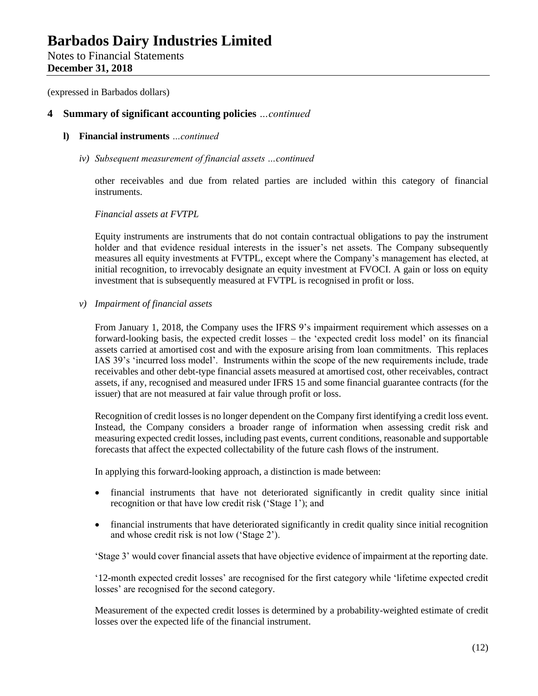Notes to Financial Statements **December 31, 2018**

(expressed in Barbados dollars)

## **4 Summary of significant accounting policies** *…continued*

- **l) Financial instruments** *…continued*
	- *iv) Subsequent measurement of financial assets …continued*

other receivables and due from related parties are included within this category of financial instruments.

## *Financial assets at FVTPL*

Equity instruments are instruments that do not contain contractual obligations to pay the instrument holder and that evidence residual interests in the issuer's net assets. The Company subsequently measures all equity investments at FVTPL, except where the Company's management has elected, at initial recognition, to irrevocably designate an equity investment at FVOCI. A gain or loss on equity investment that is subsequently measured at FVTPL is recognised in profit or loss.

*v) Impairment of financial assets* 

From January 1, 2018, the Company uses the IFRS 9's impairment requirement which assesses on a forward-looking basis, the expected credit losses – the 'expected credit loss model' on its financial assets carried at amortised cost and with the exposure arising from loan commitments. This replaces IAS 39's 'incurred loss model'. Instruments within the scope of the new requirements include, trade receivables and other debt-type financial assets measured at amortised cost, other receivables, contract assets, if any, recognised and measured under IFRS 15 and some financial guarantee contracts (for the issuer) that are not measured at fair value through profit or loss.

Recognition of credit losses is no longer dependent on the Company first identifying a credit loss event. Instead, the Company considers a broader range of information when assessing credit risk and measuring expected credit losses, including past events, current conditions, reasonable and supportable forecasts that affect the expected collectability of the future cash flows of the instrument.

In applying this forward-looking approach, a distinction is made between:

- financial instruments that have not deteriorated significantly in credit quality since initial recognition or that have low credit risk ('Stage 1'); and
- financial instruments that have deteriorated significantly in credit quality since initial recognition and whose credit risk is not low ('Stage 2').

'Stage 3' would cover financial assets that have objective evidence of impairment at the reporting date.

'12-month expected credit losses' are recognised for the first category while 'lifetime expected credit losses' are recognised for the second category.

Measurement of the expected credit losses is determined by a probability-weighted estimate of credit losses over the expected life of the financial instrument.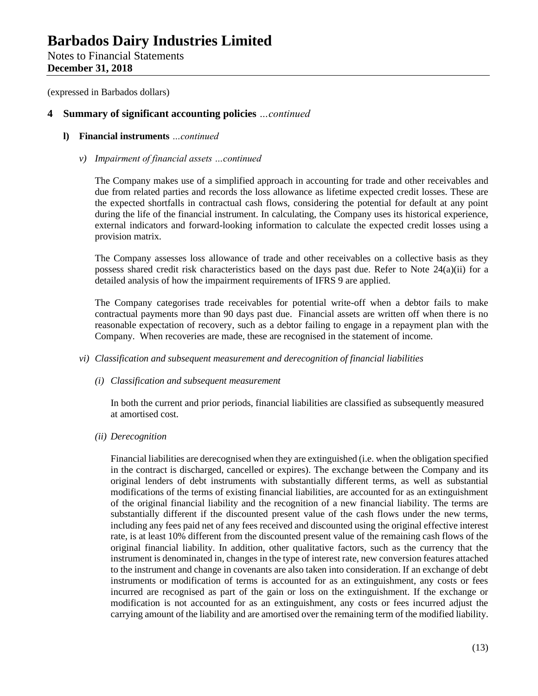Notes to Financial Statements **December 31, 2018**

(expressed in Barbados dollars)

## **4 Summary of significant accounting policies** *…continued*

## **l) Financial instruments** *…continued*

### *v) Impairment of financial assets …continued*

The Company makes use of a simplified approach in accounting for trade and other receivables and due from related parties and records the loss allowance as lifetime expected credit losses. These are the expected shortfalls in contractual cash flows, considering the potential for default at any point during the life of the financial instrument. In calculating, the Company uses its historical experience, external indicators and forward-looking information to calculate the expected credit losses using a provision matrix.

The Company assesses loss allowance of trade and other receivables on a collective basis as they possess shared credit risk characteristics based on the days past due. Refer to Note 24(a)(ii) for a detailed analysis of how the impairment requirements of IFRS 9 are applied.

The Company categorises trade receivables for potential write-off when a debtor fails to make contractual payments more than 90 days past due. Financial assets are written off when there is no reasonable expectation of recovery, such as a debtor failing to engage in a repayment plan with the Company. When recoveries are made, these are recognised in the statement of income.

### *vi) Classification and subsequent measurement and derecognition of financial liabilities*

### *(i) Classification and subsequent measurement*

In both the current and prior periods, financial liabilities are classified as subsequently measured at amortised cost.

*(ii) Derecognition*

Financial liabilities are derecognised when they are extinguished (i.e. when the obligation specified in the contract is discharged, cancelled or expires). The exchange between the Company and its original lenders of debt instruments with substantially different terms, as well as substantial modifications of the terms of existing financial liabilities, are accounted for as an extinguishment of the original financial liability and the recognition of a new financial liability. The terms are substantially different if the discounted present value of the cash flows under the new terms, including any fees paid net of any fees received and discounted using the original effective interest rate, is at least 10% different from the discounted present value of the remaining cash flows of the original financial liability. In addition, other qualitative factors, such as the currency that the instrument is denominated in, changes in the type of interest rate, new conversion features attached to the instrument and change in covenants are also taken into consideration. If an exchange of debt instruments or modification of terms is accounted for as an extinguishment, any costs or fees incurred are recognised as part of the gain or loss on the extinguishment. If the exchange or modification is not accounted for as an extinguishment, any costs or fees incurred adjust the carrying amount of the liability and are amortised over the remaining term of the modified liability.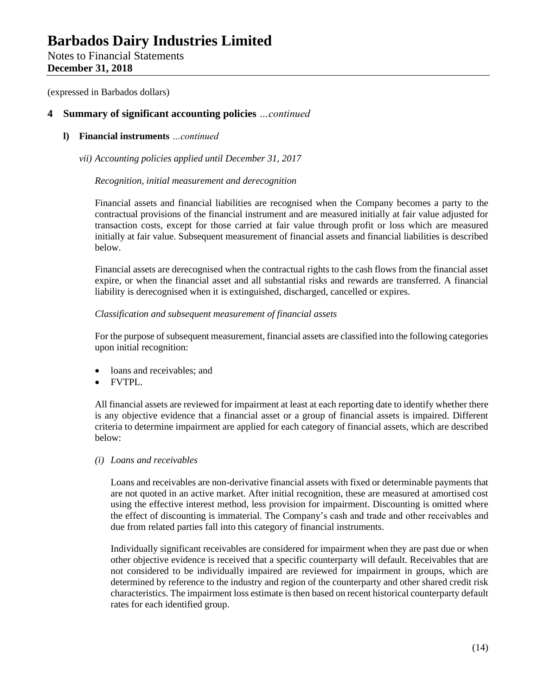Notes to Financial Statements **December 31, 2018**

(expressed in Barbados dollars)

## **4 Summary of significant accounting policies** *…continued*

**l) Financial instruments** *…continued*

*vii) Accounting policies applied until December 31, 2017*

## *Recognition, initial measurement and derecognition*

Financial assets and financial liabilities are recognised when the Company becomes a party to the contractual provisions of the financial instrument and are measured initially at fair value adjusted for transaction costs, except for those carried at fair value through profit or loss which are measured initially at fair value. Subsequent measurement of financial assets and financial liabilities is described below.

Financial assets are derecognised when the contractual rights to the cash flows from the financial asset expire, or when the financial asset and all substantial risks and rewards are transferred. A financial liability is derecognised when it is extinguished, discharged, cancelled or expires.

## *Classification and subsequent measurement of financial assets*

For the purpose of subsequent measurement, financial assets are classified into the following categories upon initial recognition:

- loans and receivables; and
- FVTPL.

All financial assets are reviewed for impairment at least at each reporting date to identify whether there is any objective evidence that a financial asset or a group of financial assets is impaired. Different criteria to determine impairment are applied for each category of financial assets, which are described below:

*(i) Loans and receivables*

Loans and receivables are non-derivative financial assets with fixed or determinable payments that are not quoted in an active market. After initial recognition, these are measured at amortised cost using the effective interest method, less provision for impairment. Discounting is omitted where the effect of discounting is immaterial. The Company's cash and trade and other receivables and due from related parties fall into this category of financial instruments.

Individually significant receivables are considered for impairment when they are past due or when other objective evidence is received that a specific counterparty will default. Receivables that are not considered to be individually impaired are reviewed for impairment in groups, which are determined by reference to the industry and region of the counterparty and other shared credit risk characteristics. The impairment loss estimate is then based on recent historical counterparty default rates for each identified group.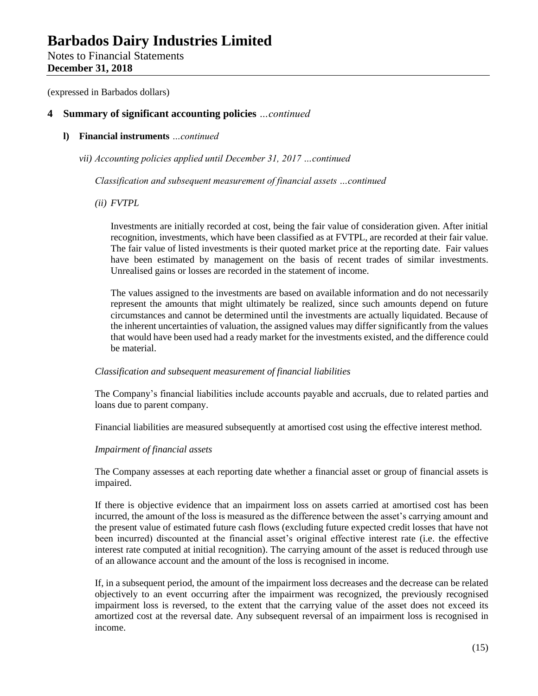Notes to Financial Statements **December 31, 2018**

(expressed in Barbados dollars)

## **4 Summary of significant accounting policies** *…continued*

**l) Financial instruments** *…continued*

*vii) Accounting policies applied until December 31, 2017 …continued*

*Classification and subsequent measurement of financial assets …continued*

*(ii) FVTPL*

Investments are initially recorded at cost, being the fair value of consideration given. After initial recognition, investments, which have been classified as at FVTPL, are recorded at their fair value. The fair value of listed investments is their quoted market price at the reporting date. Fair values have been estimated by management on the basis of recent trades of similar investments. Unrealised gains or losses are recorded in the statement of income.

The values assigned to the investments are based on available information and do not necessarily represent the amounts that might ultimately be realized, since such amounts depend on future circumstances and cannot be determined until the investments are actually liquidated. Because of the inherent uncertainties of valuation, the assigned values may differ significantly from the values that would have been used had a ready market for the investments existed, and the difference could be material.

### *Classification and subsequent measurement of financial liabilities*

The Company's financial liabilities include accounts payable and accruals, due to related parties and loans due to parent company.

Financial liabilities are measured subsequently at amortised cost using the effective interest method.

## *Impairment of financial assets*

The Company assesses at each reporting date whether a financial asset or group of financial assets is impaired.

If there is objective evidence that an impairment loss on assets carried at amortised cost has been incurred, the amount of the loss is measured as the difference between the asset's carrying amount and the present value of estimated future cash flows (excluding future expected credit losses that have not been incurred) discounted at the financial asset's original effective interest rate (i.e. the effective interest rate computed at initial recognition). The carrying amount of the asset is reduced through use of an allowance account and the amount of the loss is recognised in income.

If, in a subsequent period, the amount of the impairment loss decreases and the decrease can be related objectively to an event occurring after the impairment was recognized, the previously recognised impairment loss is reversed, to the extent that the carrying value of the asset does not exceed its amortized cost at the reversal date. Any subsequent reversal of an impairment loss is recognised in income.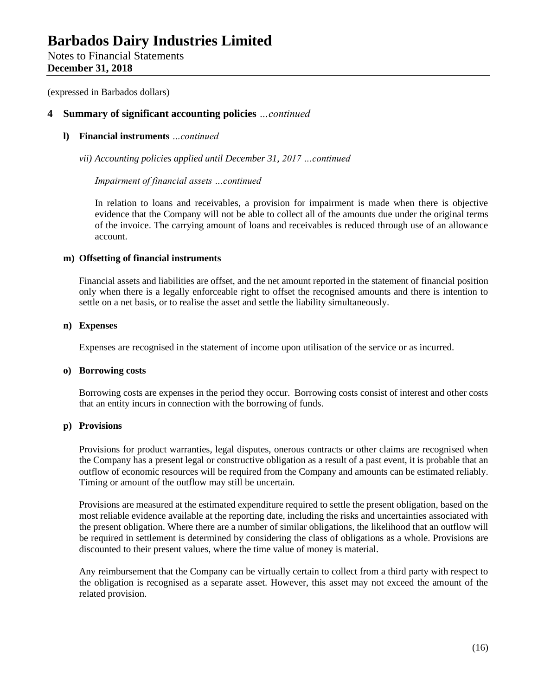Notes to Financial Statements **December 31, 2018**

(expressed in Barbados dollars)

## **4 Summary of significant accounting policies** *…continued*

## **l) Financial instruments** *…continued*

*vii) Accounting policies applied until December 31, 2017 …continued*

*Impairment of financial assets …continued*

In relation to loans and receivables, a provision for impairment is made when there is objective evidence that the Company will not be able to collect all of the amounts due under the original terms of the invoice. The carrying amount of loans and receivables is reduced through use of an allowance account.

## **m) Offsetting of financial instruments**

Financial assets and liabilities are offset, and the net amount reported in the statement of financial position only when there is a legally enforceable right to offset the recognised amounts and there is intention to settle on a net basis, or to realise the asset and settle the liability simultaneously.

### **n) Expenses**

Expenses are recognised in the statement of income upon utilisation of the service or as incurred.

### **o) Borrowing costs**

Borrowing costs are expenses in the period they occur. Borrowing costs consist of interest and other costs that an entity incurs in connection with the borrowing of funds.

## **p) Provisions**

Provisions for product warranties, legal disputes, onerous contracts or other claims are recognised when the Company has a present legal or constructive obligation as a result of a past event, it is probable that an outflow of economic resources will be required from the Company and amounts can be estimated reliably. Timing or amount of the outflow may still be uncertain.

Provisions are measured at the estimated expenditure required to settle the present obligation, based on the most reliable evidence available at the reporting date, including the risks and uncertainties associated with the present obligation. Where there are a number of similar obligations, the likelihood that an outflow will be required in settlement is determined by considering the class of obligations as a whole. Provisions are discounted to their present values, where the time value of money is material.

Any reimbursement that the Company can be virtually certain to collect from a third party with respect to the obligation is recognised as a separate asset. However, this asset may not exceed the amount of the related provision.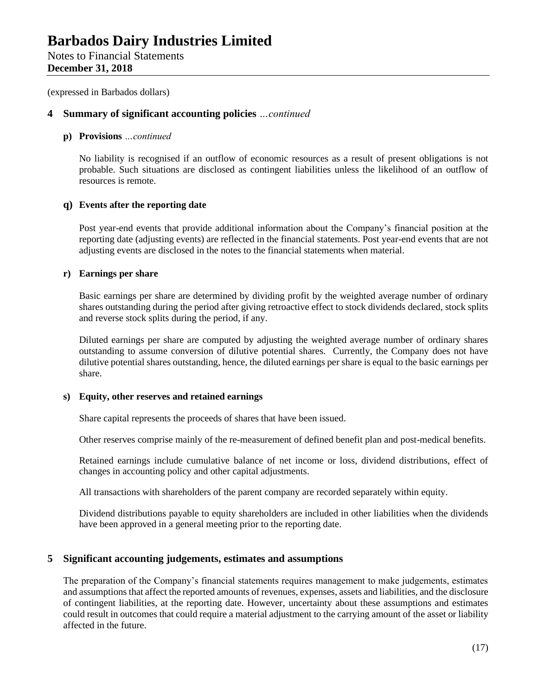## **December 31, 2018**

(expressed in Barbados dollars)

## **4 Summary of significant accounting policies** *…continued*

## **p) Provisions** *…continued*

No liability is recognised if an outflow of economic resources as a result of present obligations is not probable. Such situations are disclosed as contingent liabilities unless the likelihood of an outflow of resources is remote.

## **q) Events after the reporting date**

Post year-end events that provide additional information about the Company's financial position at the reporting date (adjusting events) are reflected in the financial statements. Post year-end events that are not adjusting events are disclosed in the notes to the financial statements when material.

## **r) Earnings per share**

Basic earnings per share are determined by dividing profit by the weighted average number of ordinary shares outstanding during the period after giving retroactive effect to stock dividends declared, stock splits and reverse stock splits during the period, if any.

Diluted earnings per share are computed by adjusting the weighted average number of ordinary shares outstanding to assume conversion of dilutive potential shares. Currently, the Company does not have dilutive potential shares outstanding, hence, the diluted earnings per share is equal to the basic earnings per share.

## **s) Equity, other reserves and retained earnings**

Share capital represents the proceeds of shares that have been issued.

Other reserves comprise mainly of the re-measurement of defined benefit plan and post-medical benefits.

Retained earnings include cumulative balance of net income or loss, dividend distributions, effect of changes in accounting policy and other capital adjustments.

All transactions with shareholders of the parent company are recorded separately within equity.

Dividend distributions payable to equity shareholders are included in other liabilities when the dividends have been approved in a general meeting prior to the reporting date.

## **5 Significant accounting judgements, estimates and assumptions**

The preparation of the Company's financial statements requires management to make judgements, estimates and assumptions that affect the reported amounts of revenues, expenses, assets and liabilities, and the disclosure of contingent liabilities, at the reporting date. However, uncertainty about these assumptions and estimates could result in outcomes that could require a material adjustment to the carrying amount of the asset or liability affected in the future.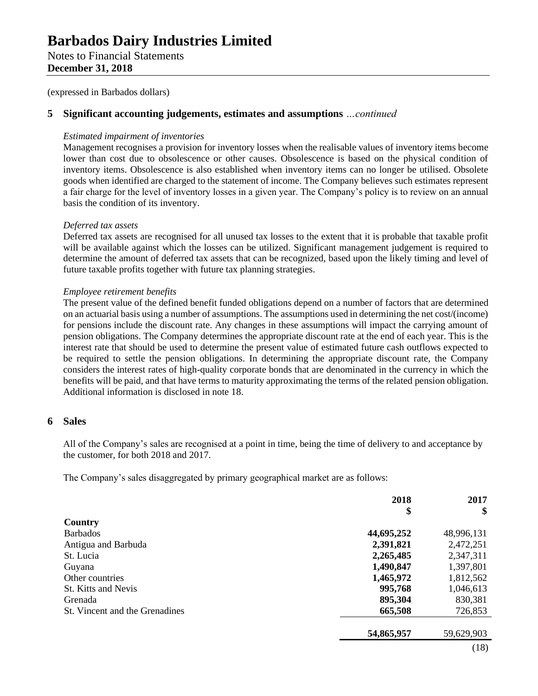Notes to Financial Statements **December 31, 2018**

(expressed in Barbados dollars)

## **5 Significant accounting judgements, estimates and assumptions** *…continued*

## *Estimated impairment of inventories*

Management recognises a provision for inventory losses when the realisable values of inventory items become lower than cost due to obsolescence or other causes. Obsolescence is based on the physical condition of inventory items. Obsolescence is also established when inventory items can no longer be utilised. Obsolete goods when identified are charged to the statement of income. The Company believes such estimates represent a fair charge for the level of inventory losses in a given year. The Company's policy is to review on an annual basis the condition of its inventory.

## *Deferred tax assets*

Deferred tax assets are recognised for all unused tax losses to the extent that it is probable that taxable profit will be available against which the losses can be utilized. Significant management judgement is required to determine the amount of deferred tax assets that can be recognized, based upon the likely timing and level of future taxable profits together with future tax planning strategies.

## *Employee retirement benefits*

The present value of the defined benefit funded obligations depend on a number of factors that are determined on an actuarial basis using a number of assumptions. The assumptions used in determining the net cost/(income) for pensions include the discount rate. Any changes in these assumptions will impact the carrying amount of pension obligations. The Company determines the appropriate discount rate at the end of each year. This is the interest rate that should be used to determine the present value of estimated future cash outflows expected to be required to settle the pension obligations. In determining the appropriate discount rate, the Company considers the interest rates of high-quality corporate bonds that are denominated in the currency in which the benefits will be paid, and that have terms to maturity approximating the terms of the related pension obligation. Additional information is disclosed in note 18.

## **6 Sales**

All of the Company's sales are recognised at a point in time, being the time of delivery to and acceptance by the customer, for both 2018 and 2017.

The Company's sales disaggregated by primary geographical market are as follows:

| 2018       | 2017<br>\$ |
|------------|------------|
|            |            |
| 44,695,252 | 48,996,131 |
| 2,391,821  | 2,472,251  |
| 2,265,485  | 2,347,311  |
| 1,490,847  | 1,397,801  |
| 1,465,972  | 1,812,562  |
| 995,768    | 1,046,613  |
| 895,304    | 830,381    |
| 665,508    | 726,853    |
| 54,865,957 | 59,629,903 |
|            | \$         |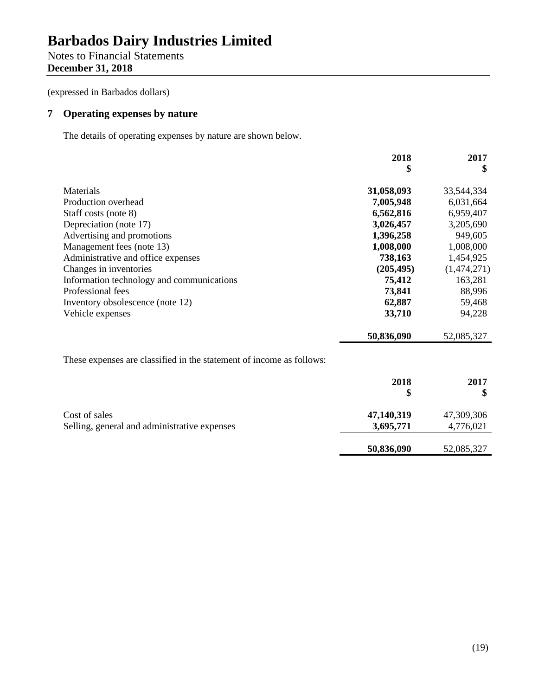Notes to Financial Statements **December 31, 2018**

(expressed in Barbados dollars)

# **7 Operating expenses by nature**

The details of operating expenses by nature are shown below.

|                                           | 2018       | 2017        |
|-------------------------------------------|------------|-------------|
|                                           | \$         | \$          |
| Materials                                 | 31,058,093 | 33,544,334  |
| Production overhead                       | 7,005,948  | 6,031,664   |
| Staff costs (note 8)                      | 6,562,816  | 6,959,407   |
| Depreciation (note 17)                    | 3,026,457  | 3,205,690   |
| Advertising and promotions                | 1,396,258  | 949,605     |
| Management fees (note 13)                 | 1,008,000  | 1,008,000   |
| Administrative and office expenses        | 738,163    | 1,454,925   |
| Changes in inventories                    | (205, 495) | (1,474,271) |
| Information technology and communications | 75,412     | 163,281     |
| Professional fees                         | 73,841     | 88,996      |
| Inventory obsolescence (note 12)          | 62,887     | 59,468      |
| Vehicle expenses                          | 33,710     | 94,228      |
|                                           | 50,836,090 | 52,085,327  |

These expenses are classified in the statement of income as follows:

|                                                               | 2018<br>S               | 2017                    |
|---------------------------------------------------------------|-------------------------|-------------------------|
| Cost of sales<br>Selling, general and administrative expenses | 47,140,319<br>3,695,771 | 47,309,306<br>4,776,021 |
|                                                               | 50,836,090              | 52,085,327              |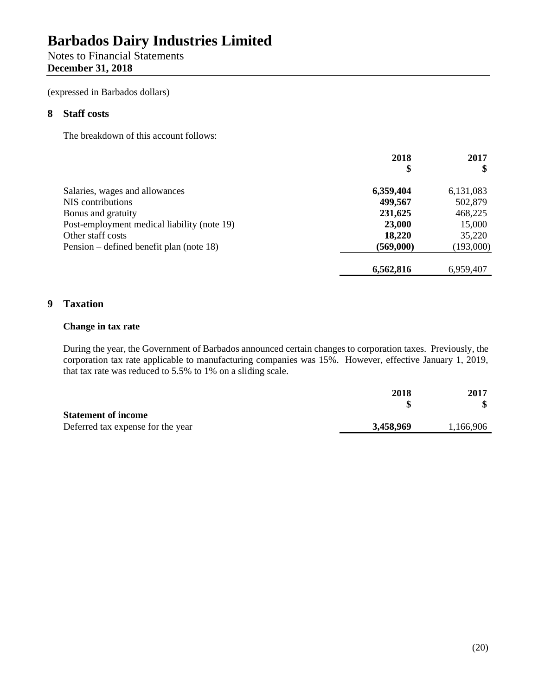# Notes to Financial Statements **December 31, 2018**

(expressed in Barbados dollars)

## **8 Staff costs**

The breakdown of this account follows:

|                                             | 2018      | 2017      |
|---------------------------------------------|-----------|-----------|
|                                             | \$        |           |
| Salaries, wages and allowances              | 6,359,404 | 6,131,083 |
| NIS contributions                           | 499,567   | 502,879   |
| Bonus and gratuity                          | 231,625   | 468,225   |
| Post-employment medical liability (note 19) | 23,000    | 15,000    |
| Other staff costs                           | 18,220    | 35,220    |
| Pension – defined benefit plan (note 18)    | (569,000) | (193,000) |
|                                             | 6,562,816 | 6,959,407 |

## **9 Taxation**

## **Change in tax rate**

During the year, the Government of Barbados announced certain changes to corporation taxes. Previously, the corporation tax rate applicable to manufacturing companies was 15%. However, effective January 1, 2019, that tax rate was reduced to 5.5% to 1% on a sliding scale.

|                                   | 2018      | 2017      |
|-----------------------------------|-----------|-----------|
| <b>Statement of income</b>        |           |           |
| Deferred tax expense for the year | 3,458,969 | 1,166,906 |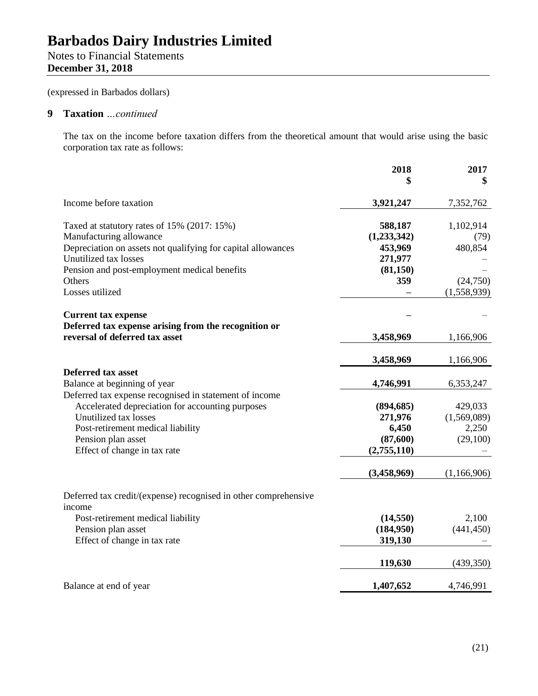# **Barbados Dairy Industries Limited** Notes to Financial Statements

**December 31, 2018**

(expressed in Barbados dollars)

## **9 Taxation** *…continued*

The tax on the income before taxation differs from the theoretical amount that would arise using the basic corporation tax rate as follows:

|                                                                 | 2018        | 2017        |
|-----------------------------------------------------------------|-------------|-------------|
|                                                                 | \$          | \$          |
| Income before taxation                                          | 3,921,247   | 7,352,762   |
| Taxed at statutory rates of 15% (2017: 15%)                     | 588,187     | 1,102,914   |
| Manufacturing allowance                                         | (1,233,342) | (79)        |
| Depreciation on assets not qualifying for capital allowances    | 453,969     | 480,854     |
| Unutilized tax losses                                           | 271,977     |             |
| Pension and post-employment medical benefits                    | (81,150)    |             |
| Others                                                          | 359         | (24,750)    |
| Losses utilized                                                 |             | (1,558,939) |
| <b>Current tax expense</b>                                      |             |             |
| Deferred tax expense arising from the recognition or            |             |             |
| reversal of deferred tax asset                                  | 3,458,969   | 1,166,906   |
|                                                                 | 3,458,969   | 1,166,906   |
| <b>Deferred tax asset</b>                                       |             |             |
| Balance at beginning of year                                    | 4,746,991   | 6,353,247   |
| Deferred tax expense recognised in statement of income          |             |             |
| Accelerated depreciation for accounting purposes                | (894, 685)  | 429,033     |
| Unutilized tax losses                                           | 271,976     | (1,569,089) |
| Post-retirement medical liability                               | 6,450       | 2,250       |
| Pension plan asset                                              | (87,600)    | (29,100)    |
| Effect of change in tax rate                                    | (2,755,110) |             |
|                                                                 | (3,458,969) | (1,166,906) |
| Deferred tax credit/(expense) recognised in other comprehensive |             |             |
| income                                                          |             |             |
| Post-retirement medical liability                               | (14, 550)   | 2,100       |
| Pension plan asset                                              | (184,950)   | (441, 450)  |
| Effect of change in tax rate                                    | 319,130     |             |
|                                                                 | 119,630     | (439,350)   |
| Balance at end of year                                          | 1,407,652   | 4,746,991   |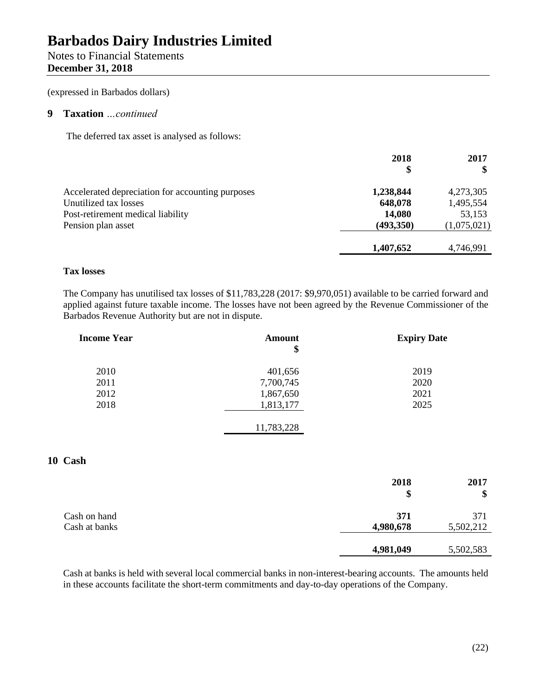# Notes to Financial Statements **December 31, 2018**

(expressed in Barbados dollars)

## **9 Taxation** *…continued*

The deferred tax asset is analysed as follows:

|                                                  | 2018<br>\$ | 2017        |
|--------------------------------------------------|------------|-------------|
| Accelerated depreciation for accounting purposes | 1,238,844  | 4,273,305   |
| Unutilized tax losses                            | 648,078    | 1,495,554   |
| Post-retirement medical liability                | 14,080     | 53,153      |
| Pension plan asset                               | (493,350)  | (1,075,021) |
|                                                  | 1,407,652  | 4,746,991   |

## **Tax losses**

The Company has unutilised tax losses of \$11,783,228 (2017: \$9,970,051) available to be carried forward and applied against future taxable income. The losses have not been agreed by the Revenue Commissioner of the Barbados Revenue Authority but are not in dispute.

| <b>Income Year</b> | Amount<br>\$ | <b>Expiry Date</b> |
|--------------------|--------------|--------------------|
| 2010               | 401,656      | 2019               |
| 2011               | 7,700,745    | 2020               |
| 2012               | 1,867,650    | 2021               |
| 2018               | 1,813,177    | 2025               |
|                    | 11,783,228   |                    |

## **10 Cash**

|                               | 2018<br>\$       | 2017<br>\$       |
|-------------------------------|------------------|------------------|
| Cash on hand<br>Cash at banks | 371<br>4,980,678 | 371<br>5,502,212 |
|                               | 4,981,049        | 5,502,583        |

Cash at banks is held with several local commercial banks in non-interest-bearing accounts. The amounts held in these accounts facilitate the short-term commitments and day-to-day operations of the Company.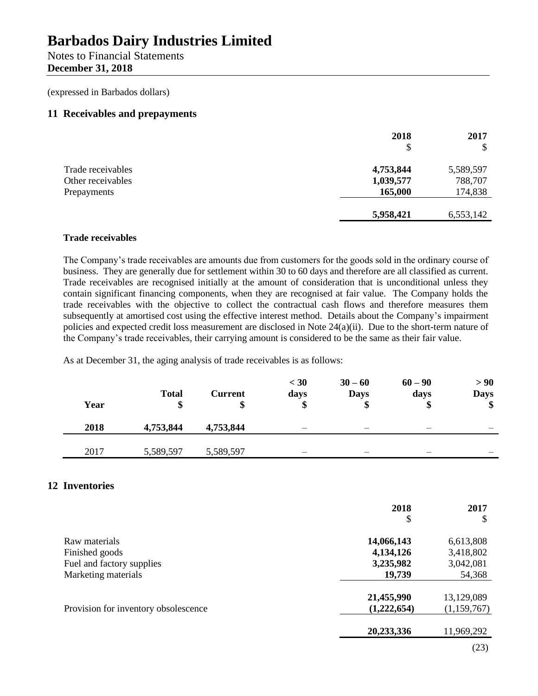Notes to Financial Statements **December 31, 2018**

(expressed in Barbados dollars)

## **11 Receivables and prepayments**

| 2018      | 2017      |
|-----------|-----------|
| \$        | $\$\$     |
| 4,753,844 | 5,589,597 |
| 1,039,577 | 788,707   |
| 165,000   | 174,838   |
| 5,958,421 | 6,553,142 |
|           |           |

## **Trade receivables**

The Company's trade receivables are amounts due from customers for the goods sold in the ordinary course of business. They are generally due for settlement within 30 to 60 days and therefore are all classified as current. Trade receivables are recognised initially at the amount of consideration that is unconditional unless they contain significant financing components, when they are recognised at fair value. The Company holds the trade receivables with the objective to collect the contractual cash flows and therefore measures them subsequently at amortised cost using the effective interest method. Details about the Company's impairment policies and expected credit loss measurement are disclosed in Note 24(a)(ii). Due to the short-term nature of the Company's trade receivables, their carrying amount is considered to be the same as their fair value.

As at December 31, the aging analysis of trade receivables is as follows:

| Year | <b>Total</b><br>\$ | <b>Current</b> | $<$ 30<br>days | $30 - 60$<br><b>Days</b><br>\$ | $60 - 90$<br>days | > 90<br><b>Days</b><br>\$ |
|------|--------------------|----------------|----------------|--------------------------------|-------------------|---------------------------|
| 2018 | 4,753,844          | 4,753,844      | -              |                                |                   |                           |
| 2017 | 5,589,597          | 5,589,597      | _              |                                |                   |                           |

## **12 Inventories**

|                                      | 2018        | 2017        |
|--------------------------------------|-------------|-------------|
|                                      | \$          | S           |
| Raw materials                        | 14,066,143  | 6,613,808   |
| Finished goods                       | 4,134,126   | 3,418,802   |
| Fuel and factory supplies            | 3,235,982   | 3,042,081   |
| Marketing materials                  | 19,739      | 54,368      |
|                                      | 21,455,990  | 13,129,089  |
| Provision for inventory obsolescence | (1,222,654) | (1,159,767) |
|                                      | 20,233,336  | 11,969,292  |
|                                      |             | (23)        |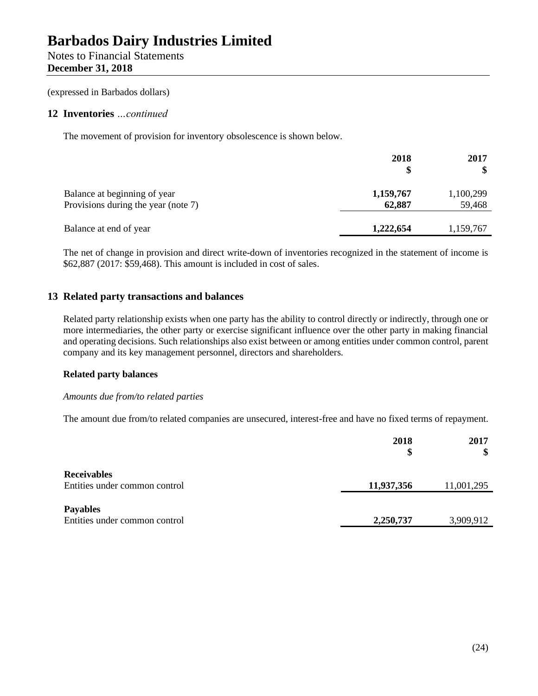## **December 31, 2018**

(expressed in Barbados dollars)

## **12 Inventories** *…continued*

The movement of provision for inventory obsolescence is shown below.

|                                                                     | 2018<br>\$          | 2017<br>\$          |
|---------------------------------------------------------------------|---------------------|---------------------|
| Balance at beginning of year<br>Provisions during the year (note 7) | 1,159,767<br>62,887 | 1,100,299<br>59,468 |
| Balance at end of year                                              | 1,222,654           | 1,159,767           |

The net of change in provision and direct write-down of inventories recognized in the statement of income is \$62,887 (2017: \$59,468). This amount is included in cost of sales.

## **13 Related party transactions and balances**

Related party relationship exists when one party has the ability to control directly or indirectly, through one or more intermediaries, the other party or exercise significant influence over the other party in making financial and operating decisions. Such relationships also exist between or among entities under common control, parent company and its key management personnel, directors and shareholders.

## **Related party balances**

## *Amounts due from/to related parties*

The amount due from/to related companies are unsecured, interest-free and have no fixed terms of repayment.

|                                                     | 2018<br>\$ | 2017<br>\$ |
|-----------------------------------------------------|------------|------------|
| <b>Receivables</b><br>Entities under common control | 11,937,356 | 11,001,295 |
| <b>Payables</b><br>Entities under common control    | 2,250,737  | 3,909,912  |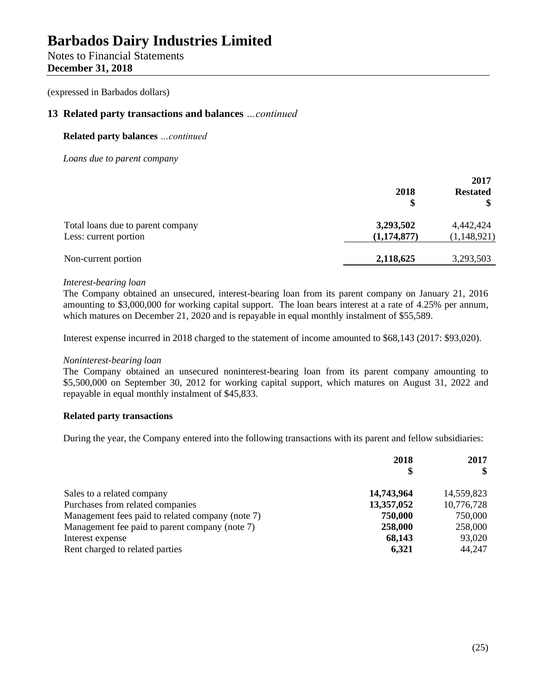Notes to Financial Statements **December 31, 2018**

(expressed in Barbados dollars)

## **13 Related party transactions and balances** *…continued*

## **Related party balances** *…continued*

*Loans due to parent company*

|                                   | 2018<br>\$  | 2017<br><b>Restated</b> |
|-----------------------------------|-------------|-------------------------|
| Total loans due to parent company | 3,293,502   | 4,442,424               |
| Less: current portion             | (1,174,877) | (1,148,921)             |
| Non-current portion               | 2,118,625   | 3,293,503               |

### *Interest-bearing loan*

The Company obtained an unsecured, interest-bearing loan from its parent company on January 21, 2016 amounting to \$3,000,000 for working capital support. The loan bears interest at a rate of 4.25% per annum, which matures on December 21, 2020 and is repayable in equal monthly instalment of \$55,589.

Interest expense incurred in 2018 charged to the statement of income amounted to \$68,143 (2017: \$93,020).

### *Noninterest-bearing loan*

The Company obtained an unsecured noninterest-bearing loan from its parent company amounting to \$5,500,000 on September 30, 2012 for working capital support, which matures on August 31, 2022 and repayable in equal monthly instalment of \$45,833.

## **Related party transactions**

During the year, the Company entered into the following transactions with its parent and fellow subsidiaries:

|                                                  | 2018<br>S  | 2017<br>\$ |
|--------------------------------------------------|------------|------------|
|                                                  |            |            |
| Sales to a related company                       | 14,743,964 | 14,559,823 |
| Purchases from related companies                 | 13,357,052 | 10,776,728 |
| Management fees paid to related company (note 7) | 750,000    | 750,000    |
| Management fee paid to parent company (note 7)   | 258,000    | 258,000    |
| Interest expense                                 | 68,143     | 93,020     |
| Rent charged to related parties                  | 6,321      | 44,247     |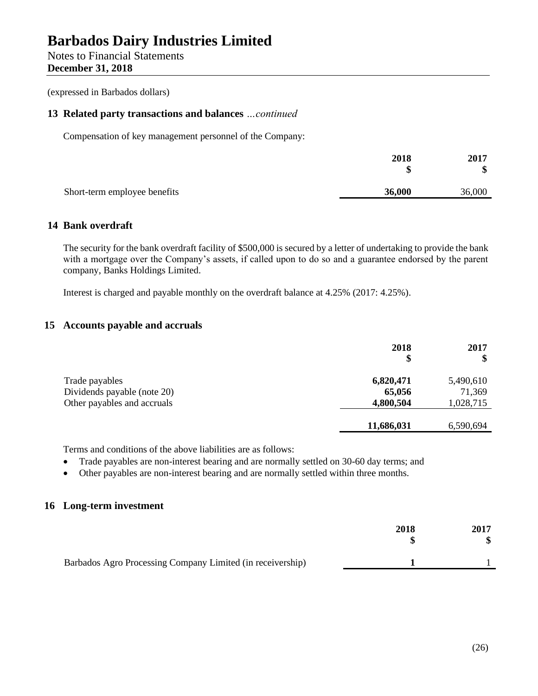Notes to Financial Statements **December 31, 2018**

(expressed in Barbados dollars)

## **13 Related party transactions and balances** *…continued*

Compensation of key management personnel of the Company:

|                              | 2018<br>Φ | 2017<br>\$ |
|------------------------------|-----------|------------|
| Short-term employee benefits | 36,000    | 36,000     |

## **14 Bank overdraft**

The security for the bank overdraft facility of \$500,000 is secured by a letter of undertaking to provide the bank with a mortgage over the Company's assets, if called upon to do so and a guarantee endorsed by the parent company, Banks Holdings Limited.

Interest is charged and payable monthly on the overdraft balance at 4.25% (2017: 4.25%).

## **15 Accounts payable and accruals**

|                                               | 2018<br>\$          | 2017<br>\$          |
|-----------------------------------------------|---------------------|---------------------|
| Trade payables<br>Dividends payable (note 20) | 6,820,471<br>65,056 | 5,490,610<br>71,369 |
| Other payables and accruals                   | 4,800,504           | 1,028,715           |
|                                               | 11,686,031          | 6,590,694           |

Terms and conditions of the above liabilities are as follows:

- Trade payables are non-interest bearing and are normally settled on 30-60 day terms; and
- Other payables are non-interest bearing and are normally settled within three months.

## **16 Long-term investment**

|                                                            | 2018 | 2017 |
|------------------------------------------------------------|------|------|
| Barbados Agro Processing Company Limited (in receivership) |      |      |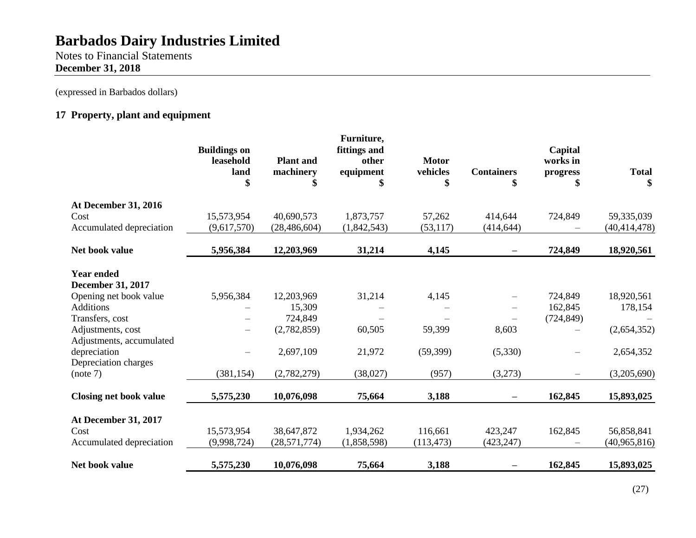Notes to Financial Statements **December 31, 2018**

(expressed in Barbados dollars)

# **17 Property, plant and equipment**

|                               | <b>Buildings on</b><br>leasehold<br>land<br>\$ | <b>Plant</b> and<br>machinery<br>\$ | Furniture,<br>fittings and<br>other<br>equipment<br>\$ | <b>Motor</b><br>vehicles<br>\$ | <b>Containers</b> | Capital<br>works in<br>progress | <b>Total</b><br>\$ |
|-------------------------------|------------------------------------------------|-------------------------------------|--------------------------------------------------------|--------------------------------|-------------------|---------------------------------|--------------------|
| <b>At December 31, 2016</b>   |                                                |                                     |                                                        |                                |                   |                                 |                    |
| Cost                          | 15,573,954                                     | 40,690,573                          | 1,873,757                                              | 57,262                         | 414,644           | 724,849                         | 59,335,039         |
| Accumulated depreciation      | (9,617,570)                                    | (28, 486, 604)                      | (1,842,543)                                            | (53, 117)                      | (414, 644)        |                                 | (40, 414, 478)     |
| Net book value                | 5,956,384                                      | 12,203,969                          | 31,214                                                 | 4,145                          |                   | 724,849                         | 18,920,561         |
| <b>Year ended</b>             |                                                |                                     |                                                        |                                |                   |                                 |                    |
| <b>December 31, 2017</b>      |                                                |                                     |                                                        |                                |                   |                                 |                    |
| Opening net book value        | 5,956,384                                      | 12,203,969                          | 31,214                                                 | 4,145                          |                   | 724,849                         | 18,920,561         |
| <b>Additions</b>              |                                                | 15,309                              |                                                        |                                |                   | 162,845                         | 178,154            |
| Transfers, cost               |                                                | 724,849                             |                                                        |                                |                   | (724, 849)                      |                    |
| Adjustments, cost             |                                                | (2,782,859)                         | 60,505                                                 | 59,399                         | 8,603             |                                 | (2,654,352)        |
| Adjustments, accumulated      |                                                |                                     |                                                        |                                |                   |                                 |                    |
| depreciation                  |                                                | 2,697,109                           | 21,972                                                 | (59, 399)                      | (5,330)           |                                 | 2,654,352          |
| Depreciation charges          |                                                |                                     |                                                        |                                |                   |                                 |                    |
| (note 7)                      | (381, 154)                                     | (2,782,279)                         | (38,027)                                               | (957)                          | (3,273)           |                                 | (3,205,690)        |
| <b>Closing net book value</b> | 5,575,230                                      | 10,076,098                          | 75,664                                                 | 3,188                          |                   | 162,845                         | 15,893,025         |
| At December 31, 2017          |                                                |                                     |                                                        |                                |                   |                                 |                    |
| Cost                          | 15,573,954                                     | 38,647,872                          | 1,934,262                                              | 116,661                        | 423,247           | 162,845                         | 56,858,841         |
| Accumulated depreciation      | (9,998,724)                                    | (28, 571, 774)                      | (1,858,598)                                            | (113, 473)                     | (423, 247)        |                                 | (40, 965, 816)     |
| Net book value                | 5,575,230                                      | 10,076,098                          | 75,664                                                 | 3,188                          |                   | 162,845                         | 15,893,025         |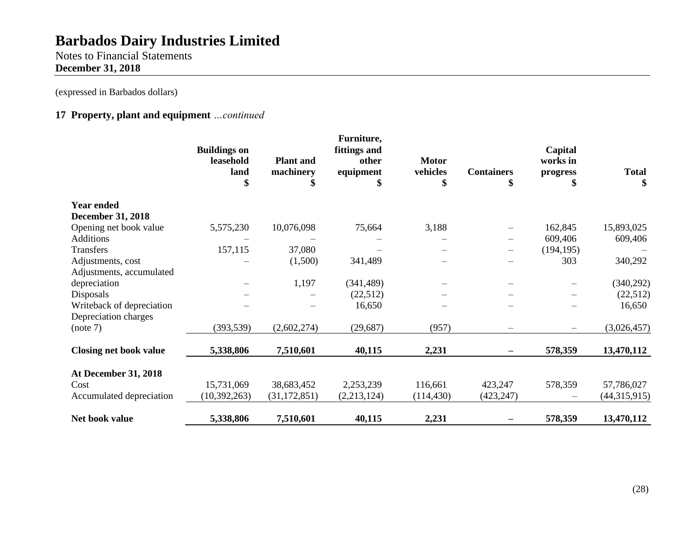Notes to Financial Statements **December 31, 2018**

(expressed in Barbados dollars)

## **17 Property, plant and equipment** *…continued*

|                               | <b>Buildings on</b><br>leasehold<br>land<br>\$ | <b>Plant</b> and<br>machinery<br>\$ | Furniture,<br>fittings and<br>other<br>equipment<br>\$ | <b>Motor</b><br>vehicles<br>\$ | <b>Containers</b><br>\$ | Capital<br>works in<br>progress | <b>Total</b><br>\$ |
|-------------------------------|------------------------------------------------|-------------------------------------|--------------------------------------------------------|--------------------------------|-------------------------|---------------------------------|--------------------|
| <b>Year ended</b>             |                                                |                                     |                                                        |                                |                         |                                 |                    |
| <b>December 31, 2018</b>      |                                                |                                     |                                                        |                                |                         |                                 |                    |
| Opening net book value        | 5,575,230                                      | 10,076,098                          | 75,664                                                 | 3,188                          |                         | 162,845                         | 15,893,025         |
| <b>Additions</b>              |                                                |                                     |                                                        |                                |                         | 609,406                         | 609,406            |
| Transfers                     | 157,115                                        | 37,080                              |                                                        |                                |                         | (194, 195)                      |                    |
| Adjustments, cost             |                                                | (1,500)                             | 341,489                                                |                                |                         | 303                             | 340,292            |
| Adjustments, accumulated      |                                                |                                     |                                                        |                                |                         |                                 |                    |
| depreciation                  |                                                | 1,197                               | (341, 489)                                             |                                |                         |                                 | (340, 292)         |
| Disposals                     |                                                |                                     | (22, 512)                                              |                                |                         |                                 | (22,512)           |
| Writeback of depreciation     |                                                |                                     | 16,650                                                 |                                |                         |                                 | 16,650             |
| Depreciation charges          |                                                |                                     |                                                        |                                |                         |                                 |                    |
| (note 7)                      | (393, 539)                                     | (2,602,274)                         | (29, 687)                                              | (957)                          |                         |                                 | (3,026,457)        |
| <b>Closing net book value</b> | 5,338,806                                      | 7,510,601                           | 40,115                                                 | 2,231                          |                         | 578,359                         | 13,470,112         |
| <b>At December 31, 2018</b>   |                                                |                                     |                                                        |                                |                         |                                 |                    |
| Cost                          | 15,731,069                                     | 38,683,452                          | 2,253,239                                              | 116,661                        | 423,247                 | 578,359                         | 57,786,027         |
| Accumulated depreciation      | (10, 392, 263)                                 | (31, 172, 851)                      | (2,213,124)                                            | (114, 430)                     | (423, 247)              |                                 | (44,315,915)       |
| Net book value                | 5,338,806                                      | 7,510,601                           | 40,115                                                 | 2,231                          |                         | 578,359                         | 13,470,112         |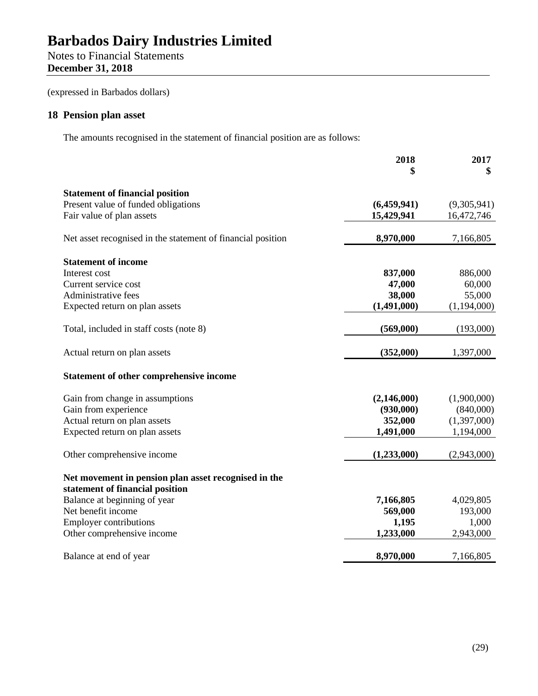# Notes to Financial Statements **December 31, 2018**

(expressed in Barbados dollars)

## **18 Pension plan asset**

The amounts recognised in the statement of financial position are as follows:

|                                                             | 2018<br>\$  | 2017<br>\$  |
|-------------------------------------------------------------|-------------|-------------|
| <b>Statement of financial position</b>                      |             |             |
| Present value of funded obligations                         | (6,459,941) | (9,305,941) |
| Fair value of plan assets                                   | 15,429,941  | 16,472,746  |
| Net asset recognised in the statement of financial position | 8,970,000   | 7,166,805   |
| <b>Statement of income</b>                                  |             |             |
| Interest cost                                               | 837,000     | 886,000     |
| Current service cost                                        | 47,000      | 60,000      |
| Administrative fees                                         | 38,000      | 55,000      |
| Expected return on plan assets                              | (1,491,000) | (1,194,000) |
| Total, included in staff costs (note 8)                     | (569,000)   | (193,000)   |
| Actual return on plan assets                                | (352,000)   | 1,397,000   |
| Statement of other comprehensive income                     |             |             |
| Gain from change in assumptions                             | (2,146,000) | (1,900,000) |
| Gain from experience                                        | (930,000)   | (840,000)   |
| Actual return on plan assets                                | 352,000     | (1,397,000) |
| Expected return on plan assets                              | 1,491,000   | 1,194,000   |
| Other comprehensive income                                  | (1,233,000) | (2,943,000) |
| Net movement in pension plan asset recognised in the        |             |             |
| statement of financial position                             |             |             |
| Balance at beginning of year                                | 7,166,805   | 4,029,805   |
| Net benefit income                                          | 569,000     | 193,000     |
| <b>Employer contributions</b>                               | 1,195       | 1,000       |
| Other comprehensive income                                  | 1,233,000   | 2,943,000   |
| Balance at end of year                                      | 8,970,000   | 7,166,805   |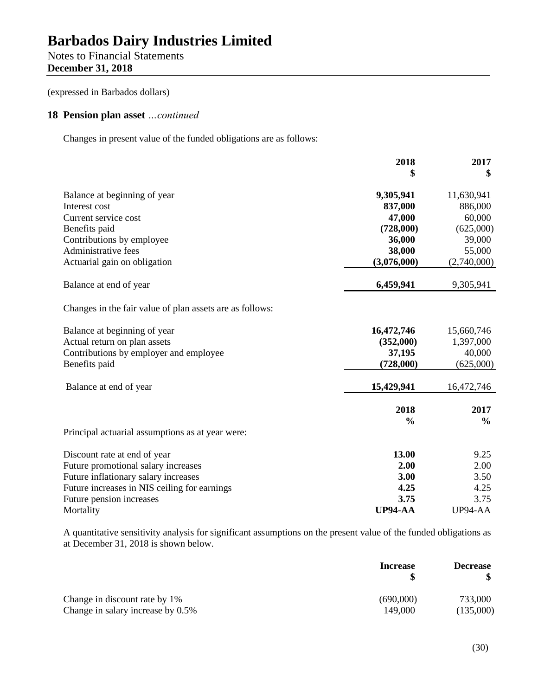## Notes to Financial Statements **December 31, 2018**

(expressed in Barbados dollars)

## **18 Pension plan asset** *…continued*

Changes in present value of the funded obligations are as follows:

|                                                          | 2018           | 2017          |
|----------------------------------------------------------|----------------|---------------|
|                                                          | \$             | \$            |
| Balance at beginning of year                             | 9,305,941      | 11,630,941    |
| Interest cost                                            | 837,000        | 886,000       |
| Current service cost                                     | 47,000         | 60,000        |
| Benefits paid                                            | (728,000)      | (625,000)     |
| Contributions by employee                                | 36,000         | 39,000        |
| Administrative fees                                      | 38,000         | 55,000        |
| Actuarial gain on obligation                             | (3,076,000)    | (2,740,000)   |
| Balance at end of year                                   | 6,459,941      | 9,305,941     |
| Changes in the fair value of plan assets are as follows: |                |               |
| Balance at beginning of year                             | 16,472,746     | 15,660,746    |
| Actual return on plan assets                             | (352,000)      | 1,397,000     |
| Contributions by employer and employee                   | 37,195         | 40,000        |
| Benefits paid                                            | (728,000)      | (625,000)     |
| Balance at end of year                                   | 15,429,941     | 16,472,746    |
|                                                          | 2018           | 2017          |
|                                                          | $\frac{6}{9}$  | $\frac{6}{9}$ |
| Principal actuarial assumptions as at year were:         |                |               |
| Discount rate at end of year                             | 13.00          | 9.25          |
| Future promotional salary increases                      | 2.00           | 2.00          |
| Future inflationary salary increases                     | 3.00           | 3.50          |
| Future increases in NIS ceiling for earnings             | 4.25           | 4.25          |
| Future pension increases                                 | 3.75           | 3.75          |
| Mortality                                                | <b>UP94-AA</b> | UP94-AA       |

A quantitative sensitivity analysis for significant assumptions on the present value of the funded obligations as at December 31, 2018 is shown below.

|                                   | <b>Increase</b> | <b>Decrease</b> |
|-----------------------------------|-----------------|-----------------|
| Change in discount rate by 1%     | (690,000)       | 733,000         |
| Change in salary increase by 0.5% | 149,000         | (135,000)       |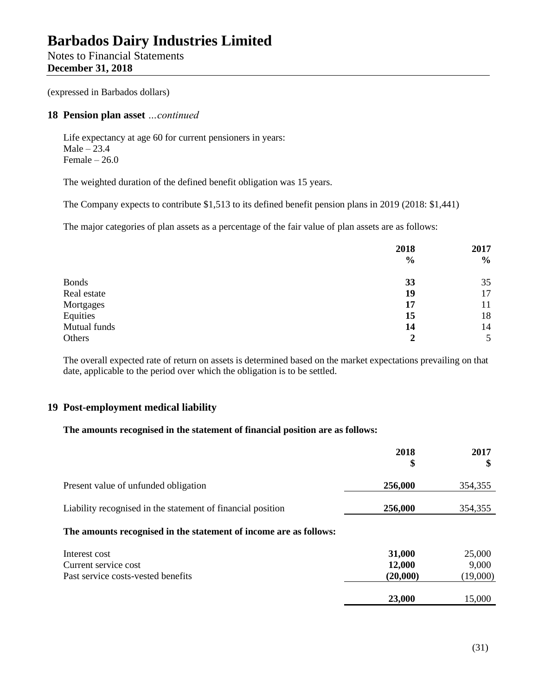Notes to Financial Statements **December 31, 2018**

(expressed in Barbados dollars)

## **18 Pension plan asset** *…continued*

Life expectancy at age 60 for current pensioners in years: Male  $-23.4$ Female  $-26.0$ 

The weighted duration of the defined benefit obligation was 15 years.

The Company expects to contribute \$1,513 to its defined benefit pension plans in 2019 (2018: \$1,441)

The major categories of plan assets as a percentage of the fair value of plan assets are as follows:

|              | 2018          | 2017 |
|--------------|---------------|------|
|              | $\frac{6}{6}$ | $\%$ |
| <b>Bonds</b> | 33            | 35   |
| Real estate  | 19            | 17   |
| Mortgages    | 17            | 11   |
| Equities     | 15            | 18   |
| Mutual funds | 14            | 14   |
| Others       | 2             | 5    |

The overall expected rate of return on assets is determined based on the market expectations prevailing on that date, applicable to the period over which the obligation is to be settled.

## **19 Post-employment medical liability**

## **The amounts recognised in the statement of financial position are as follows:**

|                                                                             | 2018<br>\$                   | 2017<br>\$                  |
|-----------------------------------------------------------------------------|------------------------------|-----------------------------|
| Present value of unfunded obligation                                        | 256,000                      | 354,355                     |
| Liability recognised in the statement of financial position                 | 256,000                      | 354,355                     |
| The amounts recognised in the statement of income are as follows:           |                              |                             |
| Interest cost<br>Current service cost<br>Past service costs-vested benefits | 31,000<br>12,000<br>(20,000) | 25,000<br>9,000<br>(19,000) |
|                                                                             | 23,000                       | 15,000                      |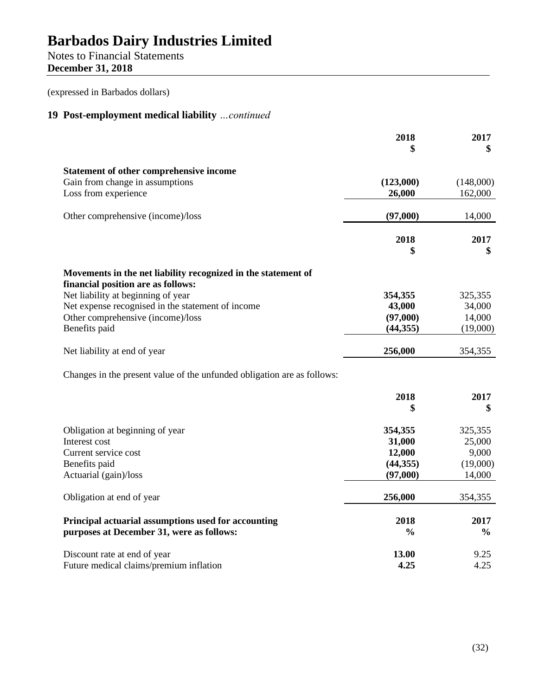Notes to Financial Statements **December 31, 2018**

(expressed in Barbados dollars)

# **19 Post-employment medical liability** *…continued*

|                                                                          | 2018<br>\$          | 2017<br>\$           |
|--------------------------------------------------------------------------|---------------------|----------------------|
|                                                                          |                     |                      |
| Statement of other comprehensive income                                  |                     |                      |
| Gain from change in assumptions<br>Loss from experience                  | (123,000)<br>26,000 | (148,000)<br>162,000 |
|                                                                          |                     |                      |
| Other comprehensive (income)/loss                                        | (97,000)            | 14,000               |
|                                                                          | 2018                | 2017                 |
|                                                                          | \$                  | \$                   |
| Movements in the net liability recognized in the statement of            |                     |                      |
| financial position are as follows:<br>Net liability at beginning of year | 354,355             | 325,355              |
| Net expense recognised in the statement of income                        | 43,000              | 34,000               |
| Other comprehensive (income)/loss                                        | (97,000)            | 14,000               |
| Benefits paid                                                            | (44, 355)           | (19,000)             |
| Net liability at end of year                                             | 256,000             | 354,355              |
| Changes in the present value of the unfunded obligation are as follows:  |                     |                      |
|                                                                          | 2018                | 2017                 |
|                                                                          | \$                  | \$                   |
| Obligation at beginning of year                                          | 354,355             | 325,355              |
| Interest cost                                                            | 31,000              | 25,000               |
| Current service cost                                                     | 12,000              | 9,000                |
| Benefits paid                                                            | (44, 355)           | (19,000)             |
| Actuarial (gain)/loss                                                    | (97,000)            | 14,000               |
| Obligation at end of year                                                | 256,000             | 354,355              |
| Principal actuarial assumptions used for accounting                      | 2018                | 2017                 |
| purposes at December 31, were as follows:                                | $\frac{0}{0}$       | $\frac{0}{0}$        |
| Discount rate at end of year                                             | 13.00               | 9.25                 |
| Future medical claims/premium inflation                                  | 4.25                | 4.25                 |
|                                                                          |                     |                      |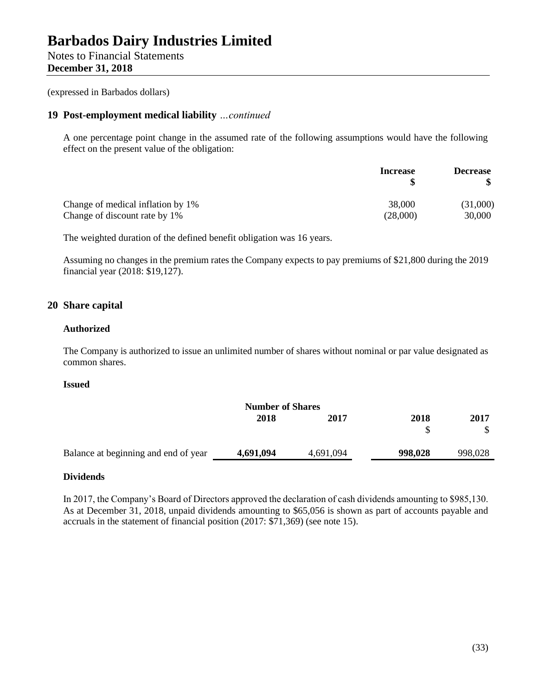Notes to Financial Statements **December 31, 2018**

(expressed in Barbados dollars)

## **19 Post-employment medical liability** *…continued*

A one percentage point change in the assumed rate of the following assumptions would have the following effect on the present value of the obligation:

|                                   | <b>Increase</b> | <b>Decrease</b> |
|-----------------------------------|-----------------|-----------------|
| Change of medical inflation by 1% | 38,000          | (31,000)        |
| Change of discount rate by 1%     | (28,000)        | 30,000          |

The weighted duration of the defined benefit obligation was 16 years.

Assuming no changes in the premium rates the Company expects to pay premiums of \$21,800 during the 2019 financial year (2018: \$19,127).

## **20 Share capital**

## **Authorized**

The Company is authorized to issue an unlimited number of shares without nominal or par value designated as common shares.

### **Issued**

| <b>Number of Shares</b> |           |         |         |
|-------------------------|-----------|---------|---------|
| 2018                    | 2017      | 2018    | 2017    |
|                         |           |         |         |
| 4,691,094               | 4,691,094 | 998,028 | 998,028 |
|                         |           |         |         |

## **Dividends**

In 2017, the Company's Board of Directors approved the declaration of cash dividends amounting to \$985,130. As at December 31, 2018, unpaid dividends amounting to \$65,056 is shown as part of accounts payable and accruals in the statement of financial position (2017: \$71,369) (see note 15).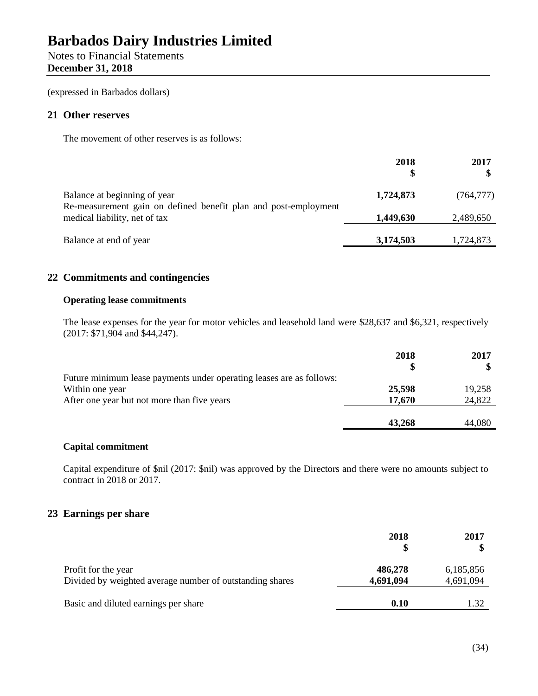# Notes to Financial Statements **December 31, 2018**

(expressed in Barbados dollars)

## **21 Other reserves**

The movement of other reserves is as follows:

|                                                                                                 | 2018      | 2017       |
|-------------------------------------------------------------------------------------------------|-----------|------------|
| Balance at beginning of year<br>Re-measurement gain on defined benefit plan and post-employment | 1,724,873 | (764, 777) |
| medical liability, net of tax                                                                   | 1,449,630 | 2,489,650  |
| Balance at end of year                                                                          | 3,174,503 | 1,724,873  |

## **22 Commitments and contingencies**

## **Operating lease commitments**

The lease expenses for the year for motor vehicles and leasehold land were \$28,637 and \$6,321, respectively (2017: \$71,904 and \$44,247).

|                                                                      | 2018   | 2017   |
|----------------------------------------------------------------------|--------|--------|
|                                                                      |        |        |
| Future minimum lease payments under operating leases are as follows: |        |        |
| Within one year                                                      | 25,598 | 19,258 |
| After one year but not more than five years                          | 17,670 | 24,822 |
|                                                                      |        |        |
|                                                                      | 43,268 | 44,080 |

## **Capital commitment**

Capital expenditure of \$nil (2017: \$nil) was approved by the Directors and there were no amounts subject to contract in 2018 or 2017.

## **23 Earnings per share**

|                                                                                 | 2018                 | 2017                   |
|---------------------------------------------------------------------------------|----------------------|------------------------|
| Profit for the year<br>Divided by weighted average number of outstanding shares | 486,278<br>4,691,094 | 6,185,856<br>4,691,094 |
| Basic and diluted earnings per share                                            | 0.10                 |                        |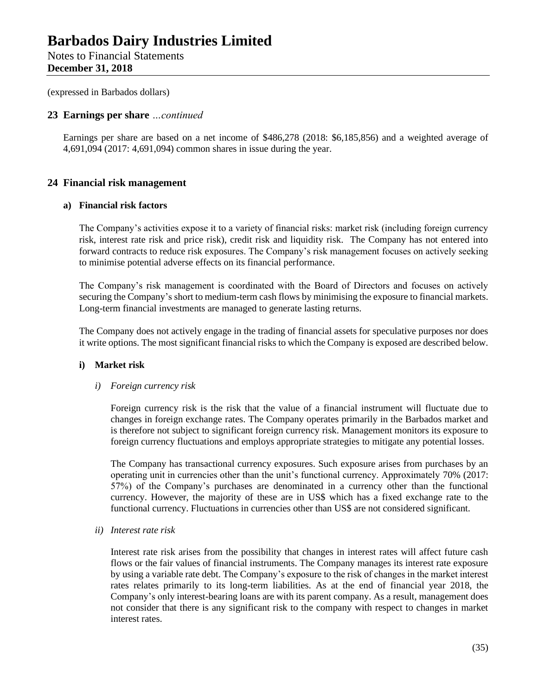Notes to Financial Statements **December 31, 2018**

(expressed in Barbados dollars)

## **23 Earnings per share** *…continued*

Earnings per share are based on a net income of \$486,278 (2018: \$6,185,856) and a weighted average of 4,691,094 (2017: 4,691,094) common shares in issue during the year.

## **24 Financial risk management**

## **a) Financial risk factors**

The Company's activities expose it to a variety of financial risks: market risk (including foreign currency risk, interest rate risk and price risk), credit risk and liquidity risk. The Company has not entered into forward contracts to reduce risk exposures. The Company's risk management focuses on actively seeking to minimise potential adverse effects on its financial performance.

The Company's risk management is coordinated with the Board of Directors and focuses on actively securing the Company's short to medium-term cash flows by minimising the exposure to financial markets. Long-term financial investments are managed to generate lasting returns.

The Company does not actively engage in the trading of financial assets for speculative purposes nor does it write options. The most significant financial risks to which the Company is exposed are described below.

## **i) Market risk**

### *i) Foreign currency risk*

Foreign currency risk is the risk that the value of a financial instrument will fluctuate due to changes in foreign exchange rates. The Company operates primarily in the Barbados market and is therefore not subject to significant foreign currency risk. Management monitors its exposure to foreign currency fluctuations and employs appropriate strategies to mitigate any potential losses.

The Company has transactional currency exposures. Such exposure arises from purchases by an operating unit in currencies other than the unit's functional currency. Approximately 70% (2017: 57%) of the Company's purchases are denominated in a currency other than the functional currency. However, the majority of these are in US\$ which has a fixed exchange rate to the functional currency. Fluctuations in currencies other than US\$ are not considered significant.

*ii) Interest rate risk*

Interest rate risk arises from the possibility that changes in interest rates will affect future cash flows or the fair values of financial instruments. The Company manages its interest rate exposure by using a variable rate debt. The Company's exposure to the risk of changes in the market interest rates relates primarily to its long-term liabilities. As at the end of financial year 2018, the Company's only interest-bearing loans are with its parent company. As a result, management does not consider that there is any significant risk to the company with respect to changes in market interest rates.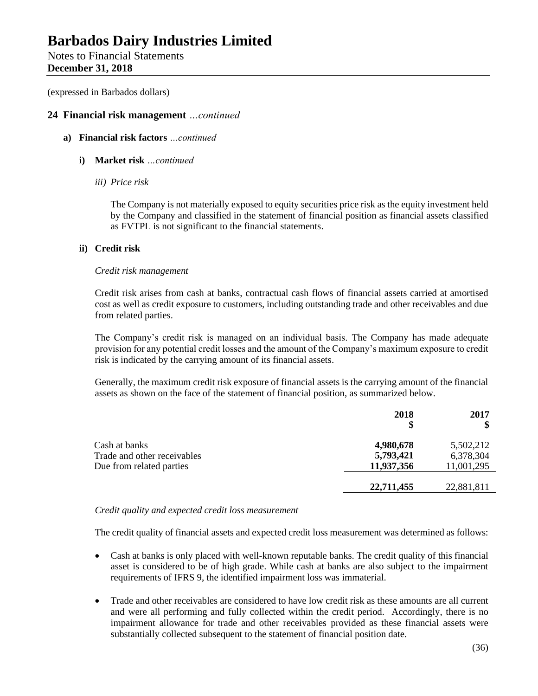Notes to Financial Statements **December 31, 2018**

(expressed in Barbados dollars)

## **24 Financial risk management** *…continued*

- **a) Financial risk factors** *…continued*
	- **i) Market risk** *…continued*
		- *iii) Price risk*

The Company is not materially exposed to equity securities price risk as the equity investment held by the Company and classified in the statement of financial position as financial assets classified as FVTPL is not significant to the financial statements.

## **ii) Credit risk**

## *Credit risk management*

Credit risk arises from cash at banks, contractual cash flows of financial assets carried at amortised cost as well as credit exposure to customers, including outstanding trade and other receivables and due from related parties.

The Company's credit risk is managed on an individual basis. The Company has made adequate provision for any potential credit losses and the amount of the Company's maximum exposure to credit risk is indicated by the carrying amount of its financial assets.

Generally, the maximum credit risk exposure of financial assets is the carrying amount of the financial assets as shown on the face of the statement of financial position, as summarized below.

|                             | 2018<br>\$ | 2017       |
|-----------------------------|------------|------------|
| Cash at banks               | 4,980,678  | 5,502,212  |
| Trade and other receivables | 5,793,421  | 6,378,304  |
| Due from related parties    | 11,937,356 | 11,001,295 |
|                             | 22,711,455 | 22,881,811 |

## *Credit quality and expected credit loss measurement*

The credit quality of financial assets and expected credit loss measurement was determined as follows:

- Cash at banks is only placed with well-known reputable banks. The credit quality of this financial asset is considered to be of high grade. While cash at banks are also subject to the impairment requirements of IFRS 9, the identified impairment loss was immaterial.
- Trade and other receivables are considered to have low credit risk as these amounts are all current and were all performing and fully collected within the credit period. Accordingly, there is no impairment allowance for trade and other receivables provided as these financial assets were substantially collected subsequent to the statement of financial position date.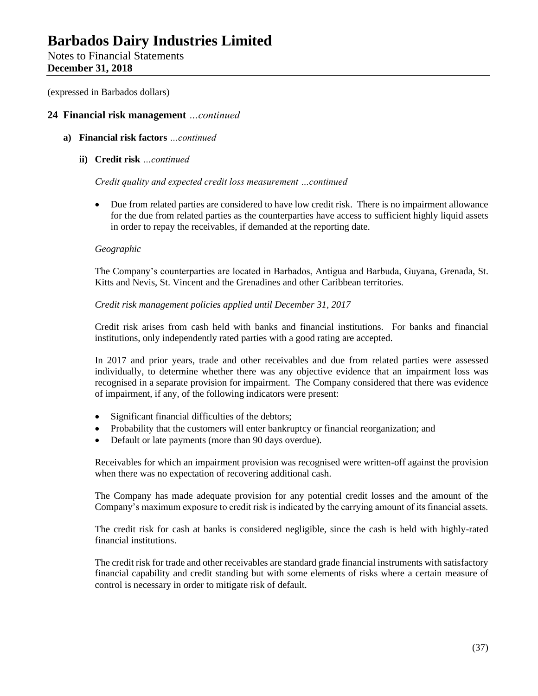Notes to Financial Statements **December 31, 2018**

(expressed in Barbados dollars)

## **24 Financial risk management** *…continued*

- **a) Financial risk factors** *…continued*
	- **ii) Credit risk** *…continued*

### *Credit quality and expected credit loss measurement …continued*

• Due from related parties are considered to have low credit risk. There is no impairment allowance for the due from related parties as the counterparties have access to sufficient highly liquid assets in order to repay the receivables, if demanded at the reporting date.

## *Geographic*

The Company's counterparties are located in Barbados, Antigua and Barbuda, Guyana, Grenada, St. Kitts and Nevis, St. Vincent and the Grenadines and other Caribbean territories.

## *Credit risk management policies applied until December 31, 2017*

Credit risk arises from cash held with banks and financial institutions. For banks and financial institutions, only independently rated parties with a good rating are accepted.

In 2017 and prior years, trade and other receivables and due from related parties were assessed individually, to determine whether there was any objective evidence that an impairment loss was recognised in a separate provision for impairment. The Company considered that there was evidence of impairment, if any, of the following indicators were present:

- Significant financial difficulties of the debtors;
- Probability that the customers will enter bankruptcy or financial reorganization; and
- Default or late payments (more than 90 days overdue).

Receivables for which an impairment provision was recognised were written-off against the provision when there was no expectation of recovering additional cash.

The Company has made adequate provision for any potential credit losses and the amount of the Company's maximum exposure to credit risk is indicated by the carrying amount of its financial assets.

The credit risk for cash at banks is considered negligible, since the cash is held with highly-rated financial institutions.

The credit risk for trade and other receivables are standard grade financial instruments with satisfactory financial capability and credit standing but with some elements of risks where a certain measure of control is necessary in order to mitigate risk of default.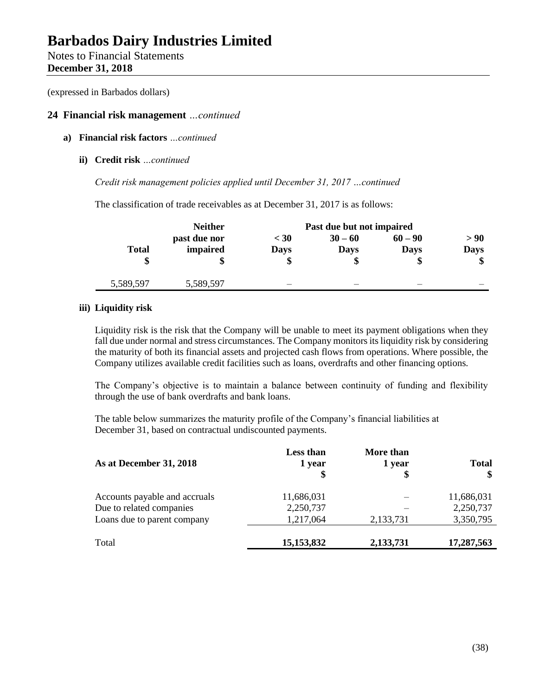Notes to Financial Statements **December 31, 2018**

(expressed in Barbados dollars)

## **24 Financial risk management** *…continued*

- **a) Financial risk factors** *…continued*
	- **ii) Credit risk** *…continued*

*Credit risk management policies applied until December 31, 2017 …continued*

The classification of trade receivables as at December 31, 2017 is as follows:

|              | <b>Neither</b> | Past due but not impaired |             |             |             |
|--------------|----------------|---------------------------|-------------|-------------|-------------|
|              | past due nor   | $<$ 30                    | $30 - 60$   | $60 - 90$   | > 90        |
| <b>Total</b> | impaired       | <b>Days</b>               | <b>Days</b> | <b>Days</b> | <b>Days</b> |
|              |                | \$                        |             | \$          | \$          |
|              |                |                           |             |             |             |
| 5,589,597    | 5,589,597      |                           |             |             |             |

## **iii) Liquidity risk**

Liquidity risk is the risk that the Company will be unable to meet its payment obligations when they fall due under normal and stress circumstances. The Company monitors its liquidity risk by considering the maturity of both its financial assets and projected cash flows from operations. Where possible, the Company utilizes available credit facilities such as loans, overdrafts and other financing options.

The Company's objective is to maintain a balance between continuity of funding and flexibility through the use of bank overdrafts and bank loans.

The table below summarizes the maturity profile of the Company's financial liabilities at December 31, based on contractual undiscounted payments.

| As at December 31, 2018       | <b>Less than</b><br>1 year | More than<br>1 year<br>\$ | <b>Total</b> |
|-------------------------------|----------------------------|---------------------------|--------------|
| Accounts payable and accruals | 11,686,031                 |                           | 11,686,031   |
| Due to related companies      | 2,250,737                  |                           | 2,250,737    |
| Loans due to parent company   | 1,217,064                  | 2,133,731                 | 3,350,795    |
| Total                         | 15,153,832                 | 2,133,731                 | 17,287,563   |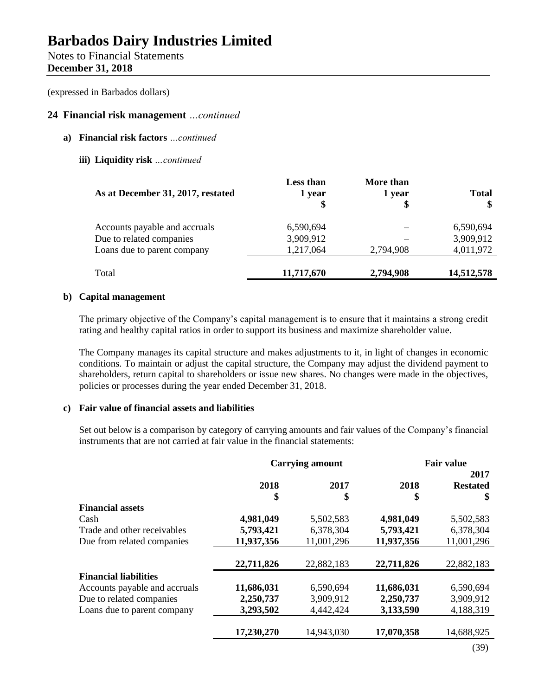## Notes to Financial Statements **December 31, 2018**

(expressed in Barbados dollars)

## **24 Financial risk management** *…continued*

- **a) Financial risk factors** *…continued*
	- **iii) Liquidity risk** *…continued*

| As at December 31, 2017, restated | <b>Less than</b><br>1 year | More than<br>1 year<br>\$ | <b>Total</b><br>\$ |
|-----------------------------------|----------------------------|---------------------------|--------------------|
| Accounts payable and accruals     | 6,590,694                  |                           | 6,590,694          |
| Due to related companies          | 3,909,912                  |                           | 3,909,912          |
| Loans due to parent company       | 1,217,064                  | 2,794,908                 | 4,011,972          |
| Total                             | 11,717,670                 | 2,794,908                 | 14,512,578         |

## **b) Capital management**

The primary objective of the Company's capital management is to ensure that it maintains a strong credit rating and healthy capital ratios in order to support its business and maximize shareholder value.

The Company manages its capital structure and makes adjustments to it, in light of changes in economic conditions. To maintain or adjust the capital structure, the Company may adjust the dividend payment to shareholders, return capital to shareholders or issue new shares. No changes were made in the objectives, policies or processes during the year ended December 31, 2018.

## **c) Fair value of financial assets and liabilities**

Set out below is a comparison by category of carrying amounts and fair values of the Company's financial instruments that are not carried at fair value in the financial statements:

|                               | <b>Carrying amount</b> |            |            | <b>Fair value</b>             |
|-------------------------------|------------------------|------------|------------|-------------------------------|
|                               | 2018<br>\$             | 2017<br>\$ | 2018<br>\$ | 2017<br><b>Restated</b><br>\$ |
| <b>Financial assets</b>       |                        |            |            |                               |
| Cash                          | 4,981,049              | 5,502,583  | 4,981,049  | 5,502,583                     |
| Trade and other receivables   | 5,793,421              | 6,378,304  | 5,793,421  | 6,378,304                     |
| Due from related companies    | 11,937,356             | 11,001,296 | 11,937,356 | 11,001,296                    |
|                               | 22,711,826             | 22,882,183 | 22,711,826 | 22,882,183                    |
| <b>Financial liabilities</b>  |                        |            |            |                               |
| Accounts payable and accruals | 11,686,031             | 6,590,694  | 11,686,031 | 6,590,694                     |
| Due to related companies      | 2,250,737              | 3,909,912  | 2,250,737  | 3,909,912                     |
| Loans due to parent company   | 3,293,502              | 4,442,424  | 3,133,590  | 4,188,319                     |
|                               | 17,230,270             | 14,943,030 | 17,070,358 | 14,688,925                    |
|                               |                        |            |            | (39)                          |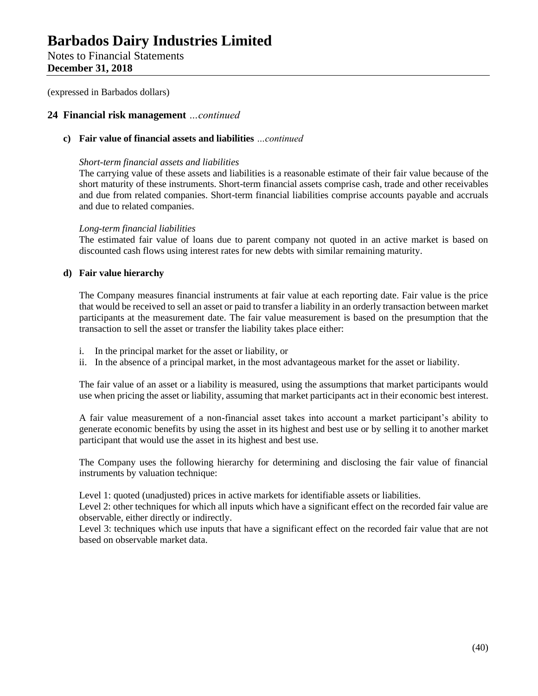Notes to Financial Statements **December 31, 2018**

(expressed in Barbados dollars)

## **24 Financial risk management** *…continued*

## **c) Fair value of financial assets and liabilities** *…continued*

### *Short-term financial assets and liabilities*

The carrying value of these assets and liabilities is a reasonable estimate of their fair value because of the short maturity of these instruments. Short-term financial assets comprise cash, trade and other receivables and due from related companies. Short-term financial liabilities comprise accounts payable and accruals and due to related companies.

## *Long-term financial liabilities*

The estimated fair value of loans due to parent company not quoted in an active market is based on discounted cash flows using interest rates for new debts with similar remaining maturity.

## **d) Fair value hierarchy**

The Company measures financial instruments at fair value at each reporting date. Fair value is the price that would be received to sell an asset or paid to transfer a liability in an orderly transaction between market participants at the measurement date. The fair value measurement is based on the presumption that the transaction to sell the asset or transfer the liability takes place either:

- i. In the principal market for the asset or liability, or
- ii. In the absence of a principal market, in the most advantageous market for the asset or liability.

The fair value of an asset or a liability is measured, using the assumptions that market participants would use when pricing the asset or liability, assuming that market participants act in their economic best interest.

A fair value measurement of a non-financial asset takes into account a market participant's ability to generate economic benefits by using the asset in its highest and best use or by selling it to another market participant that would use the asset in its highest and best use.

The Company uses the following hierarchy for determining and disclosing the fair value of financial instruments by valuation technique:

Level 1: quoted (unadjusted) prices in active markets for identifiable assets or liabilities.

Level 2: other techniques for which all inputs which have a significant effect on the recorded fair value are observable, either directly or indirectly.

Level 3: techniques which use inputs that have a significant effect on the recorded fair value that are not based on observable market data.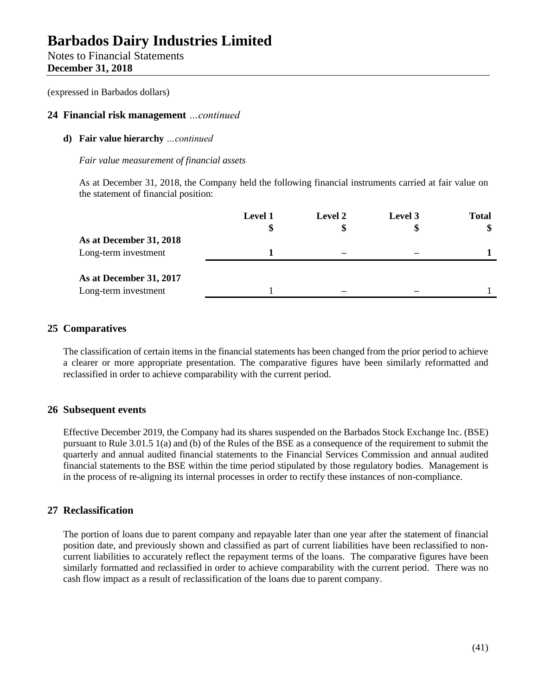Notes to Financial Statements **December 31, 2018**

(expressed in Barbados dollars)

## **24 Financial risk management** *…continued*

## **d) Fair value hierarchy** *…continued*

## *Fair value measurement of financial assets*

As at December 31, 2018, the Company held the following financial instruments carried at fair value on the statement of financial position:

|                         | <b>Level 1</b> | Level 2 | Level 3 | <b>Total</b> |
|-------------------------|----------------|---------|---------|--------------|
|                         | \$             | \$      |         | \$           |
| As at December 31, 2018 |                |         |         |              |
| Long-term investment    |                |         |         |              |
|                         |                |         |         |              |
| As at December 31, 2017 |                |         |         |              |
| Long-term investment    |                |         |         |              |
|                         |                |         |         |              |

## **25 Comparatives**

The classification of certain items in the financial statements has been changed from the prior period to achieve a clearer or more appropriate presentation. The comparative figures have been similarly reformatted and reclassified in order to achieve comparability with the current period.

## **26 Subsequent events**

Effective December 2019, the Company had its shares suspended on the Barbados Stock Exchange Inc. (BSE) pursuant to Rule 3.01.5 1(a) and (b) of the Rules of the BSE as a consequence of the requirement to submit the quarterly and annual audited financial statements to the Financial Services Commission and annual audited financial statements to the BSE within the time period stipulated by those regulatory bodies. Management is in the process of re-aligning its internal processes in order to rectify these instances of non-compliance.

## **27 Reclassification**

The portion of loans due to parent company and repayable later than one year after the statement of financial position date, and previously shown and classified as part of current liabilities have been reclassified to noncurrent liabilities to accurately reflect the repayment terms of the loans. The comparative figures have been similarly formatted and reclassified in order to achieve comparability with the current period. There was no cash flow impact as a result of reclassification of the loans due to parent company.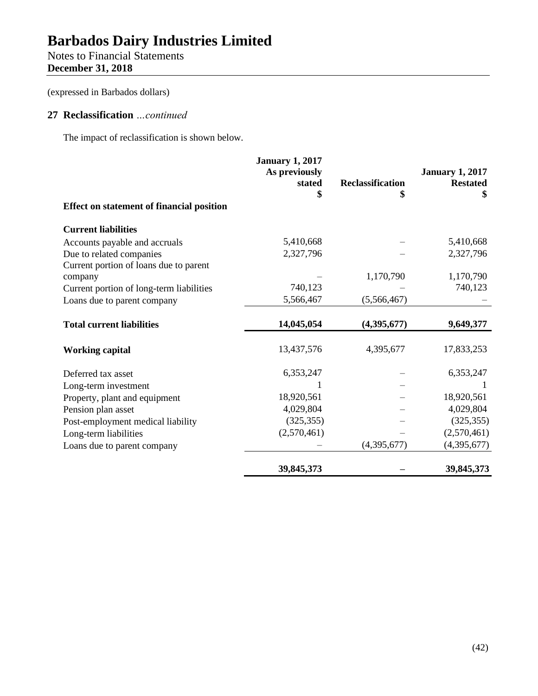# Notes to Financial Statements **December 31, 2018**

(expressed in Barbados dollars)

## **27 Reclassification** *…continued*

The impact of reclassification is shown below.

|                                                  | <b>January 1, 2017</b><br>As previously<br>stated | <b>Reclassification</b> | <b>January 1, 2017</b><br><b>Restated</b><br>\$ |
|--------------------------------------------------|---------------------------------------------------|-------------------------|-------------------------------------------------|
| <b>Effect on statement of financial position</b> |                                                   |                         |                                                 |
| <b>Current liabilities</b>                       |                                                   |                         |                                                 |
| Accounts payable and accruals                    | 5,410,668                                         |                         | 5,410,668                                       |
| Due to related companies                         | 2,327,796                                         |                         | 2,327,796                                       |
| Current portion of loans due to parent           |                                                   |                         |                                                 |
| company                                          |                                                   | 1,170,790               | 1,170,790                                       |
| Current portion of long-term liabilities         | 740,123                                           |                         | 740,123                                         |
| Loans due to parent company                      | 5,566,467                                         | (5,566,467)             |                                                 |
| <b>Total current liabilities</b>                 | 14,045,054                                        | (4,395,677)             | 9,649,377                                       |
| <b>Working capital</b>                           | 13,437,576                                        | 4,395,677               | 17,833,253                                      |
| Deferred tax asset                               | 6,353,247                                         |                         | 6,353,247                                       |
| Long-term investment                             |                                                   |                         |                                                 |
| Property, plant and equipment                    | 18,920,561                                        |                         | 18,920,561                                      |
| Pension plan asset                               | 4,029,804                                         |                         | 4,029,804                                       |
| Post-employment medical liability                | (325, 355)                                        |                         | (325, 355)                                      |
| Long-term liabilities                            | (2,570,461)                                       |                         | (2,570,461)                                     |
| Loans due to parent company                      |                                                   | (4,395,677)             | (4,395,677)                                     |
|                                                  | 39,845,373                                        |                         | 39,845,373                                      |